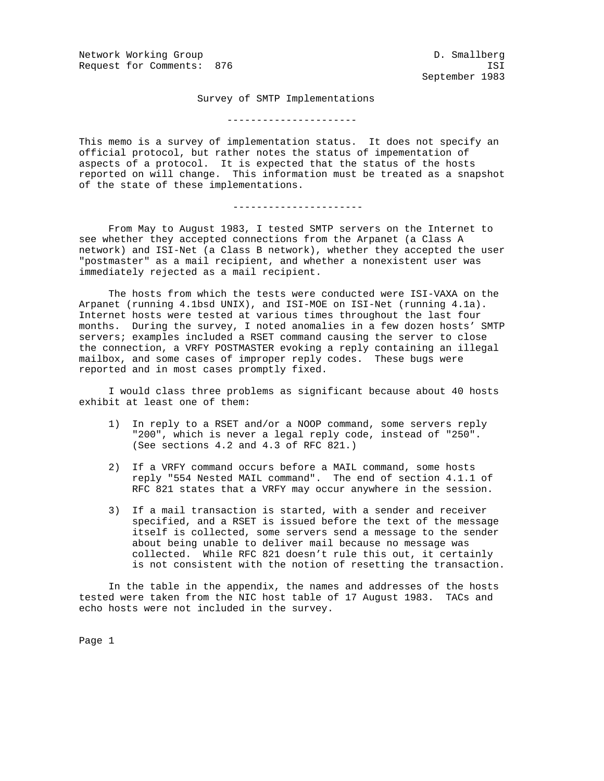Network Working Group and Communications of the D. Smallberg Request for Comments: 876 ISI

September 1983

Survey of SMTP Implementations

----------------------

This memo is a survey of implementation status. It does not specify an official protocol, but rather notes the status of impementation of aspects of a protocol. It is expected that the status of the hosts reported on will change. This information must be treated as a snapshot of the state of these implementations.

----------------------

 From May to August 1983, I tested SMTP servers on the Internet to see whether they accepted connections from the Arpanet (a Class A network) and ISI-Net (a Class B network), whether they accepted the user "postmaster" as a mail recipient, and whether a nonexistent user was immediately rejected as a mail recipient.

 The hosts from which the tests were conducted were ISI-VAXA on the Arpanet (running 4.1bsd UNIX), and ISI-MOE on ISI-Net (running 4.1a). Internet hosts were tested at various times throughout the last four months. During the survey, I noted anomalies in a few dozen hosts' SMTP servers; examples included a RSET command causing the server to close the connection, a VRFY POSTMASTER evoking a reply containing an illegal mailbox, and some cases of improper reply codes. These bugs were reported and in most cases promptly fixed.

 I would class three problems as significant because about 40 hosts exhibit at least one of them:

- 1) In reply to a RSET and/or a NOOP command, some servers reply "200", which is never a legal reply code, instead of "250". (See sections 4.2 and 4.3 of RFC 821.)
- 2) If a VRFY command occurs before a MAIL command, some hosts reply "554 Nested MAIL command". The end of section 4.1.1 of RFC 821 states that a VRFY may occur anywhere in the session.
- 3) If a mail transaction is started, with a sender and receiver specified, and a RSET is issued before the text of the message itself is collected, some servers send a message to the sender about being unable to deliver mail because no message was collected. While RFC 821 doesn't rule this out, it certainly is not consistent with the notion of resetting the transaction.

 In the table in the appendix, the names and addresses of the hosts tested were taken from the NIC host table of 17 August 1983. TACs and echo hosts were not included in the survey.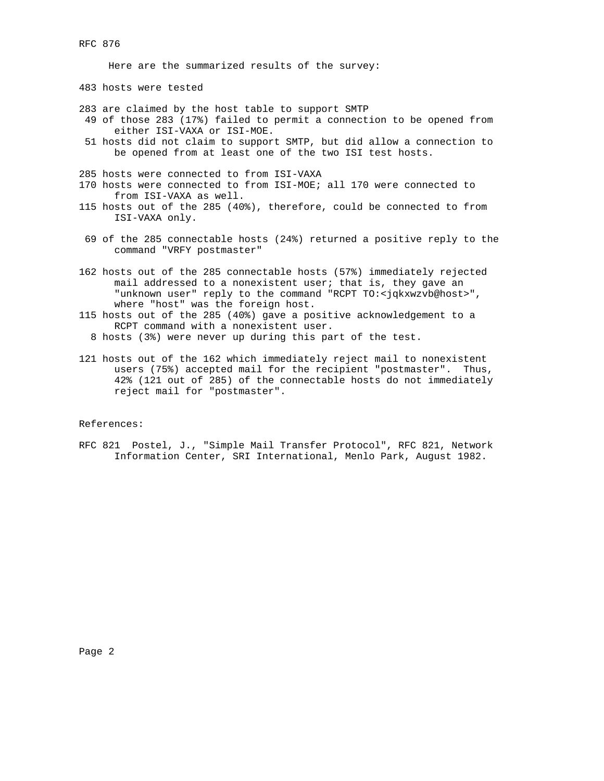Here are the summarized results of the survey:

483 hosts were tested

- 283 are claimed by the host table to support SMTP
- 49 of those 283 (17%) failed to permit a connection to be opened from either ISI-VAXA or ISI-MOE.
- 51 hosts did not claim to support SMTP, but did allow a connection to be opened from at least one of the two ISI test hosts.
- 285 hosts were connected to from ISI-VAXA
- 170 hosts were connected to from ISI-MOE; all 170 were connected to from ISI-VAXA as well.
- 115 hosts out of the 285 (40%), therefore, could be connected to from ISI-VAXA only.
- 69 of the 285 connectable hosts (24%) returned a positive reply to the command "VRFY postmaster"
- 162 hosts out of the 285 connectable hosts (57%) immediately rejected mail addressed to a nonexistent user; that is, they gave an "unknown user" reply to the command "RCPT TO:<jqkxwzvb@host>", where "host" was the foreign host.
- 115 hosts out of the 285 (40%) gave a positive acknowledgement to a RCPT command with a nonexistent user.
	- 8 hosts (3%) were never up during this part of the test.
- 121 hosts out of the 162 which immediately reject mail to nonexistent users (75%) accepted mail for the recipient "postmaster". Thus, 42% (121 out of 285) of the connectable hosts do not immediately reject mail for "postmaster".

References:

RFC 821 Postel, J., "Simple Mail Transfer Protocol", RFC 821, Network Information Center, SRI International, Menlo Park, August 1982.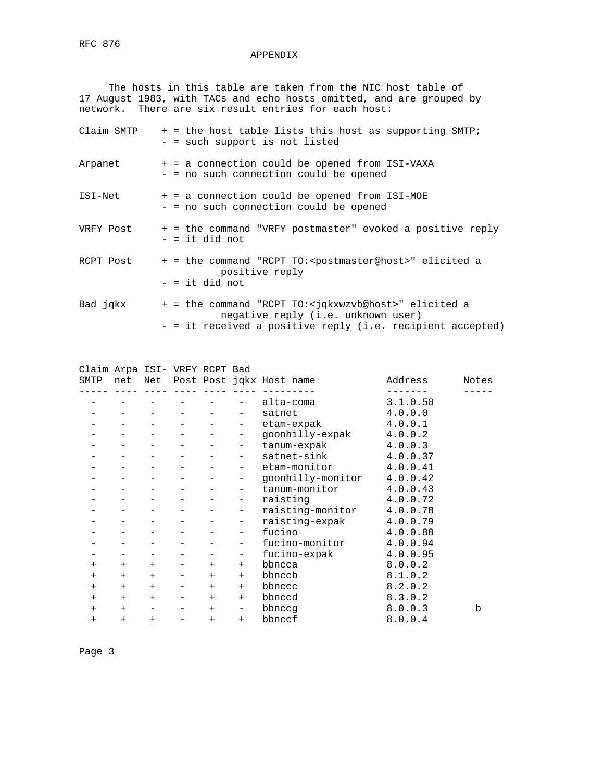#### APPENDIX

 The hosts in this table are taken from the NIC host table of 17 August 1983, with TACs and echo hosts omitted, and are grouped by network. There are six result entries for each host:

| Claim SMTP | + = the host table lists this host as supporting SMTP;<br>- = such support is not listed                                                                                    |
|------------|-----------------------------------------------------------------------------------------------------------------------------------------------------------------------------|
| Arpanet    | + = a connection could be opened from ISI-VAXA<br>- = no such connection could be opened                                                                                    |
| ISI-Net    | + = a connection could be opened from ISI-MOE<br>- = no such connection could be opened                                                                                     |
| VRFY Post  | + = the command "VRFY postmaster" evoked a positive reply<br>$-$ = it did not                                                                                               |
| RCPT Post  | + = the command "RCPT TO: <postmaster@host>" elicited a<br/>positive reply<br/><math>-</math> = it did not</postmaster@host>                                                |
| Bad jqkx   | + = the command "RCPT TO: <jqkxwzvb@host>" elicited a<br/>negative reply (i.e. unknown user)<br/>- = it received a positive reply (i.e. recipient accepted)</jqkxwzvb@host> |

| Claim Arpa ISI- VRFY RCPT Bad |        |        |        |                          |                                  |          |       |
|-------------------------------|--------|--------|--------|--------------------------|----------------------------------|----------|-------|
| SMTP                          |        |        |        |                          | net Net Post Post jqkx Host name | Address  | Notes |
|                               |        |        |        |                          |                                  |          |       |
|                               |        |        |        |                          | alta-coma                        | 3.1.0.50 |       |
|                               |        |        |        |                          | satnet                           | 4.0.0.0  |       |
|                               |        |        |        | $\overline{\phantom{m}}$ | etam-expak                       | 4.0.0.1  |       |
|                               |        |        |        | $\overline{\phantom{a}}$ | goonhilly-expak                  | 4.0.0.2  |       |
|                               |        |        |        | $\qquad \qquad -$        | tanum-expak                      | 4.0.0.3  |       |
|                               |        |        |        | $\overline{\phantom{a}}$ | satnet-sink                      | 4.0.0.37 |       |
|                               |        |        |        | $-$                      | etam-monitor                     | 4.0.0.41 |       |
|                               |        |        |        | $\overline{\phantom{a}}$ | goonhilly-monitor                | 4.0.0.42 |       |
|                               |        |        |        | $\overline{\phantom{a}}$ | tanum-monitor 4.0.0.43           |          |       |
|                               |        |        |        | $\overline{\phantom{0}}$ | raisting                         | 4.0.0.72 |       |
|                               |        |        |        | $-$ .                    | raisting-monitor                 | 4.0.0.78 |       |
|                               |        |        |        | $\overline{\phantom{a}}$ | raisting-expak                   | 4.0.0.79 |       |
|                               |        |        |        | $\overline{\phantom{a}}$ | fucino                           | 4.0.0.88 |       |
|                               |        |        |        |                          | fucino-monitor                   | 4.0.0.94 |       |
|                               |        |        |        | $\overline{\phantom{a}}$ | fucino-expak                     | 4.0.0.95 |       |
| $^{+}$                        | $^{+}$ | $+$    | $^{+}$ | $+$                      | bbncca                           | 8.0.0.2  |       |
| $^{+}$                        | $+$    | $+$    | $^{+}$ | $+$                      | bbnccb                           | 8.1.0.2  |       |
| $\ddot{}$                     | $^{+}$ | $+$    | $^{+}$ | $+$                      | bbnccc                           | 8.2.0.2  |       |
| $\ddot{}$                     | $^{+}$ | $+$    | $^{+}$ | $+$                      | bbnccd                           | 8.3.0.2  |       |
| $\ddot{}$                     | $+$    |        | $^{+}$ | $\overline{\phantom{0}}$ | bbnccq                           | 8.0.0.3  | b     |
| $^{+}$                        | $^{+}$ | $^{+}$ | $^{+}$ | $+$                      | bbnccf                           | 8.0.0.4  |       |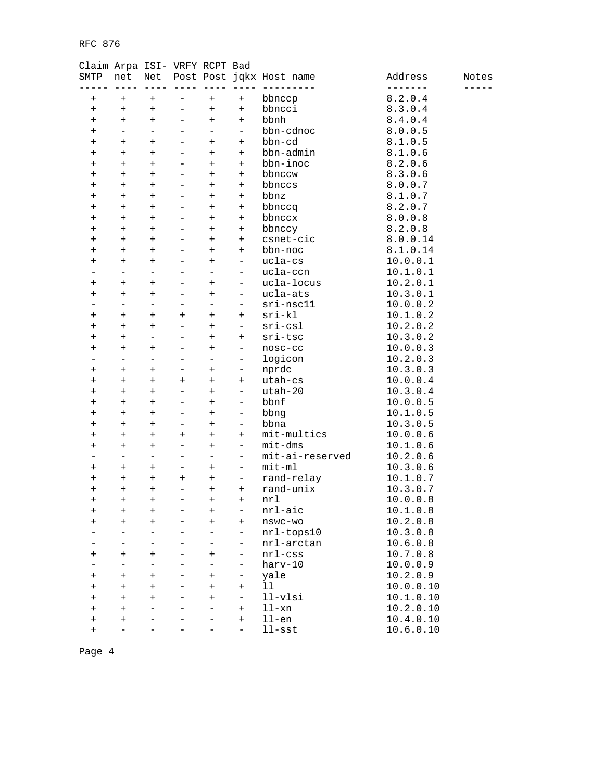| SMTP           | net                      | Net                      |                          |                          |                          | Post Post jqkx Host name | Address   | Notes |
|----------------|--------------------------|--------------------------|--------------------------|--------------------------|--------------------------|--------------------------|-----------|-------|
|                |                          |                          |                          |                          |                          |                          | -------   |       |
| $^+$           | $^{+}$                   | $^{+}$                   |                          | $\ddot{}$                | $^{+}$                   | bbnccp                   | 8.2.0.4   |       |
| $^{+}$         | $^{+}$                   | $^{+}$                   | $\qquad \qquad -$        | $\ddot{}$                | $^{+}$                   | bbncci                   | 8.3.0.4   |       |
| $\ddot{}$      | $\ddot{}$                | $\ddot{}$                |                          | $\ddot{}$                | $^{+}$                   | bbnh                     | 8.4.0.4   |       |
| $\ddot{}$      | $\overline{\phantom{0}}$ | $\equiv$                 | $\overline{\phantom{0}}$ | $\overline{\phantom{0}}$ | $\overline{\phantom{a}}$ | bbn-cdnoc                | 8.0.0.5   |       |
| $\pmb{+}$      | $\ddot{}$                | $\ddot{}$                | $\overline{\phantom{0}}$ | $\ddot{}$                | $\ddot{}$                | bbn-cd                   | 8.1.0.5   |       |
| $\ddot{}$      | $\ddot{}$                | $\ddot{}$                | $\overline{\phantom{0}}$ | $\ddot{}$                | $^{+}$                   | bbn-admin                | 8.1.0.6   |       |
| $\,{}^+$       | $\ddot{}$                | $+$                      | $\equiv$                 | $+$                      | $+$                      | bbn-inoc                 | 8.2.0.6   |       |
| $\,{}^+$       | $\ddot{}$                | $\ddot{}$                | $\overline{\phantom{0}}$ | $\ddot{}$                | $^{+}$                   | bbnccw                   | 8.3.0.6   |       |
| $\,{}^+$       | $\ddot{}$                | $+$                      |                          | $\ddot{}$                | $^{+}$                   | bbnccs                   | 8.0.0.7   |       |
| $\ddot{}$      | $^{+}$                   | $+$                      | $\equiv$                 | $+$                      | $+$                      | bbnz                     | 8.1.0.7   |       |
| $\pmb{+}$      | $^{+}$                   | $\ddot{}$                | $\overline{\phantom{0}}$ | $\ddot{}$                | $\ddot{}$                | bbnccq                   | 8.2.0.7   |       |
| $\ddot{}$      | $^{+}$                   | $\ddot{}$                | $\overline{\phantom{0}}$ | $\ddot{}$                | $^{+}$                   | bbnccx                   | 8.0.0.8   |       |
| $\,{}^+$       | $^{+}$                   | $\ddot{}$                | ÷                        | $\ddot{}$                | $^{+}$                   | bbnccy                   | 8.2.0.8   |       |
| $\,{}^+$       | $^{+}$                   | $\ddot{}$                | $\overline{\phantom{0}}$ | $\ddot{}$                | $^{+}$                   | csnet-cic                | 8.0.0.14  |       |
| $\,{}^+$       | $^{+}$                   | $\ddot{}$                |                          | $\ddot{}$                | $^{+}$                   | bbn-noc                  | 8.1.0.14  |       |
| $\ddot{}$      | $^{+}$                   | $+$                      | $\overline{\phantom{0}}$ | $\ddot{}$                | $\overline{\phantom{0}}$ | ucla-cs                  | 10.0.0.1  |       |
|                | $\qquad \qquad -$        | $\qquad \qquad -$        | $\overline{\phantom{0}}$ | $\overline{\phantom{0}}$ | $\overline{\phantom{a}}$ | ucla-ccn                 | 10.1.0.1  |       |
| $\ddot{}$      | $\ddot{}$                | $\ddot{}$                |                          | $\ddot{}$                | $\overline{\phantom{a}}$ | ucla-locus               | 10.2.0.1  |       |
| $\,{}^+$       | $\ddot{}$                | $+$                      | $\overline{\phantom{0}}$ | $+$                      | $\overline{\phantom{0}}$ | ucla-ats                 | 10.3.0.1  |       |
|                | $\overline{\phantom{0}}$ | $\overline{\phantom{0}}$ | -                        | $\overline{\phantom{0}}$ | $\overline{\phantom{0}}$ | $sri-nsc11$              | 10.0.0.2  |       |
| $\ddot{}$      | $\ddot{}$                | $\ddot{}$                | $\ddot{}$                | $\ddot{}$                | $\ddot{}$                | $sri-kl$                 | 10.1.0.2  |       |
| $\ddot{}$      | $^{+}$                   | $+$                      | $\equiv$                 | $+$                      | $\overline{\phantom{0}}$ | $sri-csl$                | 10.2.0.2  |       |
| $\pmb{+}$      | $^{+}$                   | $\qquad \qquad -$        | $\overline{\phantom{0}}$ | $\ddot{}$                | $^{+}$                   | sri-tsc                  | 10.3.0.2  |       |
| $\,{}^+$       | $\ddot{}$                | $\ddot{}$                | $\overline{\phantom{0}}$ | $\ddot{}$                | $\qquad \qquad -$        | nosc-cc                  | 10.0.0.3  |       |
|                | $\overline{\phantom{0}}$ | $\overline{\phantom{0}}$ | ÷                        | $\qquad \qquad -$        | $\qquad \qquad -$        | logicon                  | 10.2.0.3  |       |
| $\pmb{+}$      | $^{+}$                   | $\ddot{}$                | $\qquad \qquad -$        | $^{+}$                   | $\overline{\phantom{0}}$ | nprdc                    | 10.3.0.3  |       |
| $\ddot{}$      | $^{+}$                   | $\ddot{}$                | $\ddot{}$                | $\ddot{}$                | $^{+}$                   | utah-cs                  | 10.0.0.4  |       |
| $\ddot{}$      | $^{+}$                   | $^{+}$                   | $\equiv$                 | $+$                      | $\overline{\phantom{0}}$ | utah-20                  | 10.3.0.4  |       |
| $\pmb{+}$      | $^{+}$                   | $^{+}$                   | $\overline{\phantom{0}}$ | $\ddot{}$                | $\overline{\phantom{a}}$ | bbnf                     | 10.0.0.5  |       |
| $\ddot{}$      | $\ddot{}$                | $\ddot{}$                | $\overline{\phantom{0}}$ | $\ddot{}$                | $\qquad \qquad -$        | bbng                     | 10.1.0.5  |       |
| $\,{}^+$       | $\ddot{}$                | $+$                      | $\qquad \qquad -$        | $+$                      | $\qquad \qquad -$        | bbna                     | 10.3.0.5  |       |
| $^+$           | $\ddot{}$                | $\ddot{}$                | $^{+}$                   | $\ddot{}$                | $^{+}$                   | mit-multics              | 10.0.0.6  |       |
| $^+$           | $\ddot{}$                | $+$                      |                          | $\ddot{}$                | $\overline{\phantom{0}}$ | $mit-dms$                | 10.1.0.6  |       |
|                | $\overline{\phantom{0}}$ | $\equiv$                 | $\equiv$                 | $\equiv$                 | $\overline{\phantom{a}}$ | mit-ai-reserved          | 10.2.0.6  |       |
| $\pmb{+}$      | $^{+}$                   | $\ddot{}$                | -                        | $\ddot{}$                | $\overline{\phantom{a}}$ | $mit-m1$                 | 10.3.0.6  |       |
| $\ddot{}$      | $\ddot{}$                | $^{+}$                   | $\ddot{}$                | $\ddot{}$                | -                        | rand-relay               | 10.1.0.7  |       |
| $\,{}^+$       | $\ddot{}$                | $\ddot{}$                | ÷                        | $\ddot{}$                | $^{+}$                   | rand-unix                | 10.3.0.7  |       |
| $^+$           | $\ddot{}$                | $^{+}$                   |                          | $\ddot{}$                | $^{+}$                   | nrl                      | 10.0.0.8  |       |
| $^{+}$         | $\ddot{}$                | $^{+}$                   | $\overline{\phantom{0}}$ | $^{+}$                   | $\equiv$                 | nrl-aic                  | 10.1.0.8  |       |
| $\ddot{}$      | $^{+}$                   | $^{+}$                   |                          | $\mathrm{+}$             | $^{+}$                   | nswc-wo                  | 10.2.0.8  |       |
|                |                          | $\overline{\phantom{0}}$ |                          |                          | -                        | $nrl-tops10$             | 10.3.0.8  |       |
|                |                          |                          |                          |                          | -                        | nrl-arctan               | 10.6.0.8  |       |
| $\pmb{+}$      | $\ddot{}$                | $\ddot{}$                |                          | $\pm$                    | $\qquad \qquad -$        | $nrl$ - $css$            | 10.7.0.8  |       |
|                | -                        | $\overline{\phantom{0}}$ |                          |                          | $\overline{\phantom{0}}$ | $h$ arv-10               | 10.0.0.9  |       |
| $^{+}$         | $\ddot{}$                | $\ddot{}$                |                          | $\ddot{}$                | $\overline{\phantom{0}}$ | yale                     | 10.2.0.9  |       |
| $\ddot{}$      | $^{+}$                   | $+$                      |                          | $\ddot{}$                | $\ddot{}$                | 11                       | 10.0.0.10 |       |
| $\ddot{}$      | $^{+}$                   | $\ddot{}$                |                          | $\ddot{}$                | $\qquad \qquad -$        | $11-v1si$                | 10.1.0.10 |       |
| $\ddot{}$      | $\ddot{}$                |                          |                          |                          | $\ddot{}$                | ll-xn                    | 10.2.0.10 |       |
|                | $\ddot{}$                |                          |                          |                          | $^{+}$                   | $11$ -en                 | 10.4.0.10 |       |
| $^+$<br>$^{+}$ |                          |                          |                          |                          | $\overline{\phantom{0}}$ | $11$ -sst                | 10.6.0.10 |       |
|                |                          |                          |                          |                          |                          |                          |           |       |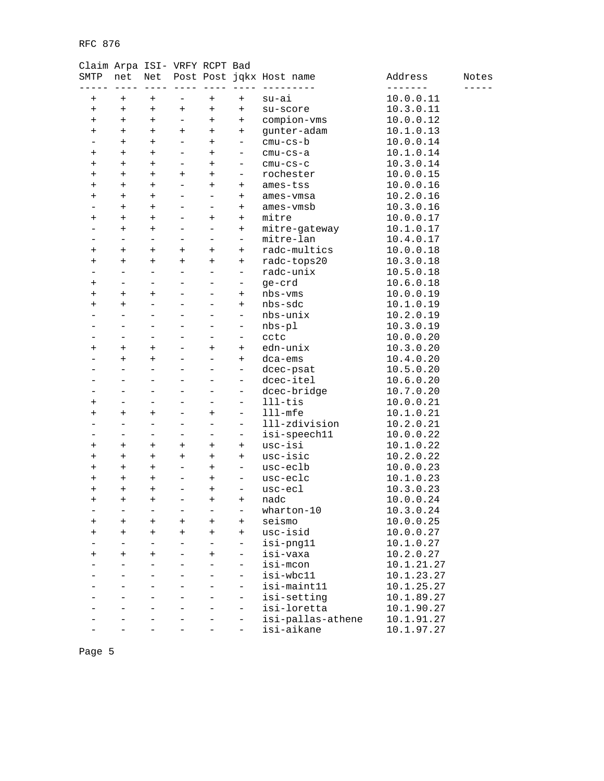| SMTP           | net                      | Net                      |                          |                          |                          | Post Post jqkx Host name | Address                  | Notes |
|----------------|--------------------------|--------------------------|--------------------------|--------------------------|--------------------------|--------------------------|--------------------------|-------|
|                |                          |                          |                          |                          |                          |                          |                          |       |
| $\ddot{}$      | $\ddot{}$                | $^{+}$                   | -                        | $\pm$                    | $^{+}$                   | $su-ai$                  | 10.0.0.11                |       |
| $\ddot{}$      | $^{+}$                   | $^{+}$                   | $^{+}$                   | $^{+}$                   | $\ddot{}$                | su-score                 | 10.3.0.11                |       |
| $^{+}$         | $\ddot{}$                | $^{+}$                   | $\overline{\phantom{0}}$ | $^{+}$                   | $^{+}$                   | compion-vms              | 10.0.0.12                |       |
| $\overline{+}$ | $\ddot{}$                | $\ddot{}$                | $\ddot{}$                | $^{+}$                   | $\ddot{}$                | gunter-adam              | 10.1.0.13                |       |
|                | $\ddot{}$                | $+$                      | $\overline{\phantom{0}}$ | $\overline{+}$           | $\qquad \qquad -$        | $cmu-cs-b$               | 10.0.0.14                |       |
| $\ddot{}$      | $^{+}$                   | $^{+}$                   | -                        | $^{+}$                   | -                        | cmu-cs-a                 | 10.1.0.14                |       |
| $\ddot{}$      | $\ddot{}$                | $\ddot{}$                | -                        | $^{+}$                   | -                        | $cmu-cs-c$               | 10.3.0.14                |       |
| $^+$           | $^{+}$                   | $+$                      | $\ddot{}$                | $^{+}$                   | $\qquad \qquad -$        | rochester                | 10.0.0.15                |       |
| $^{+}$         | $\ddot{}$                | $+$                      | $\equiv$                 | $^{+}$                   | $\ddot{}$                | ames-tss                 | 10.0.0.16                |       |
| $^+$           | $\ddot{}$                | $+$                      |                          |                          | $+$                      | ames-vmsa                | 10.2.0.16                |       |
|                | $\ddot{}$                | $+$                      |                          |                          | $\ddot{}$                | ames-vmsb                | 10.3.0.16                |       |
| $\ddot{}$      | $^{+}$                   | $^{+}$                   | -                        | $^{+}$                   | $+$                      | mitre                    | 10.0.0.17                |       |
|                | $^{+}$                   | $^{+}$                   |                          |                          | $\ddot{}$                | mitre-gateway            | 10.1.0.17                |       |
|                | $\overline{\phantom{0}}$ | $\overline{\phantom{0}}$ |                          |                          | $\overline{\phantom{0}}$ | mitre-lan                | 10.4.0.17                |       |
| $^{+}$         | $^{+}$                   | $^{+}$                   | $\ddot{}$                | $^{+}$                   | $+$                      | radc-multics             | 10.0.0.18                |       |
| $\overline{+}$ | $^{+}$                   | $\ddot{}$                | $\ddot{}$                | $\ddot{}$                | $+$                      | radc-tops20              | 10.3.0.18                |       |
|                | $\overline{\phantom{0}}$ | $\equiv$                 | ÷,                       | $\equiv$                 | $\qquad \qquad -$        | radc-unix                | 10.5.0.18                |       |
| $\ddot{}$      | $\overline{\phantom{0}}$ | $\qquad \qquad -$        |                          | -                        | -                        | ge-crd                   | 10.6.0.18                |       |
| $\overline{+}$ | $\ddot{}$                | $\ddot{}$                |                          |                          | $\ddot{}$                | nbs-vms                  | 10.0.0.19                |       |
| $^+$           | $\ddot{}$                | ÷.                       |                          |                          | $+$                      | nbs-sdc                  | 10.1.0.19                |       |
|                | $\overline{\phantom{0}}$ | ÷.                       |                          |                          | $\overline{\phantom{0}}$ | nbs-unix                 | 10.2.0.19                |       |
|                |                          |                          |                          |                          |                          | $nbs-p1$                 | 10.3.0.19                |       |
|                |                          | ÷.                       |                          |                          | $\qquad \qquad -$        | cctc                     | 10.0.0.20                |       |
| $\ddot{}$      | $^{+}$                   | $\ddot{}$                | -                        | $^{+}$                   | $\ddot{}$                | edn-unix                 | 10.3.0.20                |       |
|                | $\ddot{}$                | $^{+}$                   |                          |                          | $\ddot{}$                | dca-ems                  | 10.4.0.20                |       |
|                | $\overline{\phantom{0}}$ | $\overline{\phantom{0}}$ |                          |                          | $\qquad \qquad -$        | dcec-psat                | 10.5.0.20                |       |
|                | $\equiv$                 | $\overline{\phantom{0}}$ | $\overline{\phantom{0}}$ |                          | $\overline{\phantom{0}}$ | dcec-itel                | 10.6.0.20                |       |
|                |                          |                          |                          |                          | $\overline{\phantom{0}}$ | dcec-bridge              | 10.7.0.20                |       |
| $^+$           |                          | $\overline{\phantom{0}}$ |                          |                          | $\qquad \qquad -$        | $111 - t$ is             | 10.0.0.21                |       |
| $\ddot{}$      | $^{+}$                   | $^{+}$                   | -                        | $^{+}$                   | $\qquad \qquad -$        | $lll$ -mfe               | 10.1.0.21                |       |
|                |                          | $\overline{\phantom{0}}$ |                          |                          | $\overline{\phantom{0}}$ | 111-zdivision            | 10.2.0.21                |       |
|                |                          | ÷.                       |                          |                          | $\qquad \qquad -$        | isi-speech11             | 10.0.0.22                |       |
| $\ddot{}$      | $\ddot{}$                | $^{+}$                   | $\ddot{}$                | $^{+}$                   | $\ddot{}$                | usc-isi                  | 10.1.0.22                |       |
| $\pmb{+}$      | $\ddot{}$                | $+$                      | $\ddot{}$                | $\ddot{}$                | $\ddot{}$                | usc-isic                 | 10.2.0.22                |       |
| $^+$           | $\ddot{}$                | $+$                      | $\overline{\phantom{0}}$ | $^{+}$                   | $\qquad \qquad -$        | usc-eclb                 | 10.0.0.23                |       |
| $\ddot{}$      | $^{+}$                   | $^{+}$                   | -                        | $^{+}$                   | -                        | usc-eclc                 | 10.1.0.23                |       |
| $\overline{+}$ | $\overline{+}$           | $\ddot{}$                | -                        | $\pm$                    | -                        | usc-ecl                  | 10.3.0.23                |       |
| $^+$           | $\ddot{}$                | $^{+}$                   |                          | $^{+}$                   | $^{+}$                   | nadc                     | 10.0.0.24                |       |
|                | ÷                        | $\overline{\phantom{0}}$ | $\overline{\phantom{0}}$ | $\overline{\phantom{0}}$ |                          | wharton-10               | 10.3.0.24                |       |
| $\overline{+}$ | $\ddot{}$                | $\ddot{}$                | $^{+}$                   | $\pm$                    | $^{+}$                   | seismo                   | 10.0.0.25                |       |
| $\,{}^+$       | $\ddot{}$                | $\ddot{}$                | $\ddot{}$                | $^{+}$                   | $^{+}$                   | usc-isid                 | 10.0.0.27                |       |
|                |                          | $\overline{\phantom{0}}$ |                          |                          | -                        | isi-png11                | 10.1.0.27                |       |
| $\pmb{+}$      | $^+$                     | $\ddot{}$                |                          | $\pm$                    |                          | isi-vaxa                 | 10.2.0.27                |       |
|                |                          | ÷.                       |                          |                          |                          | isi-mcon                 | 10.1.21.27               |       |
|                |                          |                          |                          |                          | $\overline{\phantom{0}}$ | isi-wbc11                | 10.1.23.27               |       |
|                |                          |                          |                          |                          |                          | isi-maint11              | 10.1.25.27               |       |
|                |                          |                          |                          |                          | $\qquad \qquad -$        | isi-setting              |                          |       |
|                |                          |                          |                          |                          |                          | isi-loretta              | 10.1.89.27<br>10.1.90.27 |       |
|                |                          |                          |                          |                          | -                        |                          |                          |       |
|                |                          |                          |                          |                          | -                        | isi-pallas-athene        | 10.1.91.27               |       |
|                |                          |                          |                          |                          | $\overline{\phantom{0}}$ | isi-aikane               | 10.1.97.27               |       |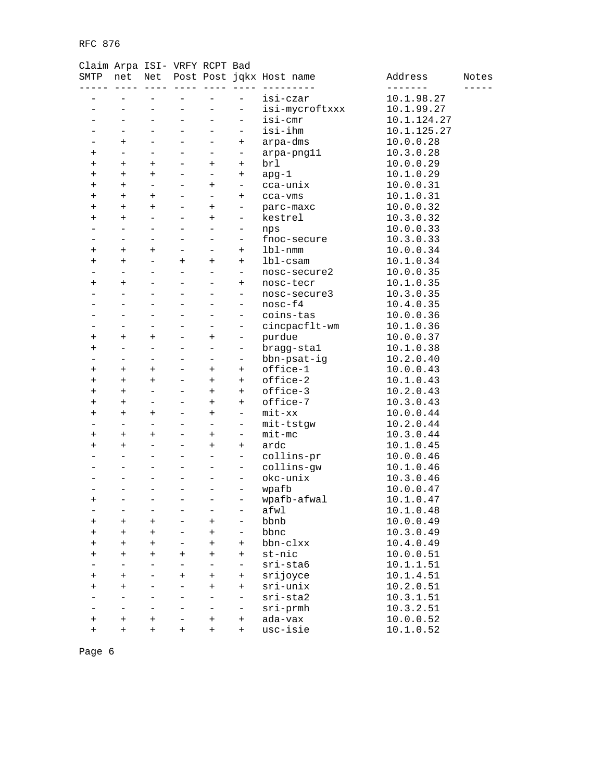### Claim Arpa ISI- VRFY RCPT Bad

| SMTP           | net                      | Net                      |                          |                          |                          | Post Post jqkx Host name | Address     | Notes |
|----------------|--------------------------|--------------------------|--------------------------|--------------------------|--------------------------|--------------------------|-------------|-------|
|                |                          |                          |                          |                          |                          |                          |             |       |
|                |                          |                          |                          |                          |                          | isi-czar                 | 10.1.98.27  |       |
|                |                          | $\overline{\phantom{0}}$ | $\overline{\phantom{0}}$ |                          | -                        | isi-mycroftxxx           | 10.1.99.27  |       |
|                | $\overline{\phantom{0}}$ | $\overline{\phantom{0}}$ | $\overline{\phantom{0}}$ | $\equiv$                 | $\overline{\phantom{0}}$ | isi-cmr                  | 10.1.124.27 |       |
|                |                          |                          |                          |                          | $\overline{\phantom{0}}$ | isi-ihm                  | 10.1.125.27 |       |
|                | $\ddot{}$                | $\overline{\phantom{0}}$ | L,                       | $\overline{\phantom{0}}$ | $^{+}$                   | arpa-dms                 | 10.0.0.28   |       |
| $\pmb{+}$      | $\qquad \qquad -$        | $\qquad \qquad -$        | $\overline{\phantom{0}}$ | $\overline{\phantom{0}}$ | -                        | arpa-png11               | 10.3.0.28   |       |
| $\pm$          | $\ddot{}$                | $\ddot{}$                | $\overline{\phantom{0}}$ | $\ddot{}$                | $^{+}$                   | brl                      | 10.0.0.29   |       |
| $\pm$          | $\ddot{}$                | $\ddot{}$                | $\overline{\phantom{0}}$ | $\equiv$                 | $^{+}$                   | $apg-1$                  | 10.1.0.29   |       |
| $\overline{+}$ | $+$                      | $\overline{\phantom{0}}$ | $\overline{\phantom{0}}$ | $^{+}$                   | $\overline{\phantom{0}}$ | cca-unix                 | 10.0.0.31   |       |
| $^{+}$         | $\ddot{}$                | $+$                      |                          |                          | $^{+}$                   | cca-vms                  | 10.1.0.31   |       |
| $^+$           | $\ddot{}$                | $+$                      |                          | $^{+}$                   | $\overline{\phantom{0}}$ | parc-maxc                | 10.0.0.32   |       |
| $\,{}^+$       | $+$                      | $\overline{\phantom{0}}$ | $\overline{\phantom{0}}$ | $\ddot{}$                | $\overline{\phantom{a}}$ | kestrel                  | 10.3.0.32   |       |
|                | $\overline{\phantom{0}}$ | $\overline{\phantom{0}}$ |                          |                          | $\overline{\phantom{a}}$ | nps                      | 10.0.0.33   |       |
|                | $\overline{\phantom{0}}$ | ÷                        | L.                       | $\overline{\phantom{0}}$ | $\overline{\phantom{0}}$ | fnoc-secure              | 10.3.0.33   |       |
| $\pmb{+}$      | $^{+}$                   | $\ddot{}$                | $\overline{\phantom{0}}$ | $\overline{\phantom{0}}$ | $^{+}$                   | 1b1-nmm                  | 10.0.0.34   |       |
| $^+$           | $\ddot{}$                | $\overline{\phantom{0}}$ | $\ddot{}$                | $^{+}$                   | $^{+}$                   | $1b1-cs$ am              | 10.1.0.34   |       |
|                | $\overline{\phantom{0}}$ | $\overline{\phantom{0}}$ |                          | $\overline{\phantom{0}}$ | $\qquad \qquad -$        | nosc-secure2             | 10.0.0.35   |       |
| $\,{}^+$       | $^{+}$                   | $\qquad \qquad -$        | $\overline{\phantom{0}}$ | $\overline{\phantom{0}}$ | $^{+}$                   | nosc-tecr                | 10.1.0.35   |       |
|                |                          | $\overline{\phantom{0}}$ |                          |                          | $\overline{\phantom{0}}$ | nosc-secure3             | 10.3.0.35   |       |
|                |                          | ÷                        |                          |                          | $\overline{\phantom{0}}$ | $nosc-f4$                | 10.4.0.35   |       |
|                | -                        | ۳                        | ۳                        | ÷                        | $\overline{\phantom{0}}$ | coins-tas                | 10.0.0.36   |       |
|                |                          |                          |                          |                          | $\overline{\phantom{0}}$ | cincpacflt-wm            | 10.1.0.36   |       |
| $^{+}$         | $\ddot{}$                | $\ddot{}$                |                          | $^{+}$                   | $\overline{\phantom{0}}$ | purdue                   | 10.0.0.37   |       |
| $\,{}^+$       | $\qquad \qquad -$        | $\overline{\phantom{0}}$ | $\overline{\phantom{0}}$ | ÷.                       | $\overline{\phantom{a}}$ | bragg-stal               | 10.1.0.38   |       |
|                | $\overline{\phantom{0}}$ | $\overline{\phantom{0}}$ |                          |                          | $\overline{\phantom{0}}$ | bbn-psat-ig              | 10.2.0.40   |       |
| $\pmb{+}$      | $\ddot{}$                | $\ddot{}$                | -                        | $^{+}$                   | $^{+}$                   | office-1                 | 10.0.0.43   |       |
| $\pmb{+}$      | $\ddot{}$                | $\ddot{}$                | $\overline{\phantom{0}}$ | $^{+}$                   | $^{+}$                   | office-2                 | 10.1.0.43   |       |
| $^+$           | $\ddot{}$                | $\equiv$                 |                          | $\ddot{}$                | $^{+}$                   | office-3                 | 10.2.0.43   |       |
| $^+$           | $\ddot{}$                | $\overline{\phantom{0}}$ |                          | $\ddot{}$                | $^{+}$                   | office-7                 | 10.3.0.43   |       |
| $\overline{+}$ | $^{+}$                   | $\ddot{}$                | $\overline{\phantom{0}}$ | $\ddot{}$                | $\qquad \qquad -$        | $mit - xx$               | 10.0.0.44   |       |
|                | $\overline{\phantom{0}}$ | $\overline{\phantom{0}}$ |                          |                          | $\overline{\phantom{0}}$ | mit-tstgw                | 10.2.0.44   |       |
| $\pmb{+}$      | $\ddot{}$                | $\ddot{}$                |                          | $^{+}$                   | $\overline{\phantom{0}}$ | $mit$ -mc                | 10.3.0.44   |       |
| $\overline{+}$ | $+$                      | $\equiv$                 | -                        | $\ddot{}$                | $^{+}$                   | ardc                     | 10.1.0.45   |       |
|                |                          | $\overline{\phantom{0}}$ |                          |                          | $\overline{\phantom{0}}$ | collins-pr               | 10.0.0.46   |       |
|                |                          | $\overline{\phantom{0}}$ |                          | $\equiv$                 | $\overline{\phantom{0}}$ | collins-gw               | 10.1.0.46   |       |
|                | $\overline{\phantom{0}}$ | $\overline{\phantom{0}}$ | $\overline{\phantom{0}}$ | $\overline{\phantom{0}}$ | $\overline{\phantom{a}}$ | okc-unix                 | 10.3.0.46   |       |
|                |                          | $\overline{\phantom{0}}$ |                          |                          | -                        | wpafb                    | 10.0.0.47   |       |
| $\pmb{+}$      |                          | $\overline{a}$           | -                        |                          | -                        | wpafb-afwal              | 10.1.0.47   |       |
| $\equiv$       | $\equiv$                 | $\overline{\phantom{0}}$ | $\overline{\phantom{0}}$ | $\equiv$                 | $\equiv$                 | afwl                     | 10.1.0.48   |       |
| $\pm$          | $\ddot{}$                | $^{+}$                   |                          | $\pm$                    | $\overline{\phantom{0}}$ | bbnb                     | 10.0.0.49   |       |
| $\overline{+}$ | $\ddot{}$                | $\ddot{}$                |                          | $^{+}$                   | $\overline{\phantom{0}}$ | bbnc                     | 10.3.0.49   |       |
| $\pmb{+}$      | $\ddot{}$                | $\ddot{}$                |                          | $\ddot{}$                | $^{+}$                   | bbn-clxx                 | 10.4.0.49   |       |
| $\,{}^+$       | $\ddot{}$                | $\ddot{}$                | $\ddot{}$                | $\ddot{}$                | $^{+}$                   | st-nic                   | 10.0.0.51   |       |
|                | $\equiv$                 | $\overline{\phantom{0}}$ |                          |                          | $\overline{\phantom{0}}$ | $sri$ -sta $6$           | 10.1.1.51   |       |
|                | $+$                      | ÷.                       |                          | $\overline{+}$           |                          | srijoyce                 | 10.1.4.51   |       |
| $\pmb{+}$      |                          |                          | $^{+}$                   |                          | $^{+}$                   | $sri-unix$               |             |       |
| $^+$           | $\ddot{}$                |                          |                          | $^{+}$                   | $^{+}$                   |                          | 10.2.0.51   |       |
|                | $\overline{\phantom{0}}$ | ÷                        |                          | $\overline{\phantom{0}}$ | $\qquad \qquad -$        | $sri-sta2$               | 10.3.1.51   |       |
|                | $\overline{\phantom{0}}$ | $\equiv$                 | ▃                        | $\overline{\phantom{0}}$ | -                        | sri-prmh                 | 10.3.2.51   |       |
| $^+$           | $\ddot{}$                | $\ddot{}$                |                          | $\overline{+}$           | $^{+}$                   | ada-vax                  | 10.0.0.52   |       |
| $^{+}$         | $\ddot{}$                | $\ddot{}$                | $\ddot{}$                | $^{+}$                   | $^{+}$                   | usc-isie                 | 10.1.0.52   |       |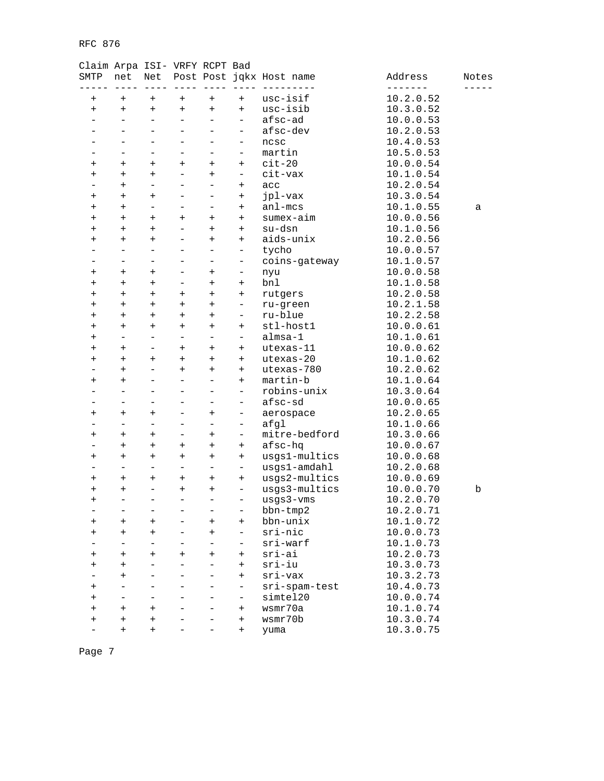| SMTP                     | net                      | Net                      |                          |                                  |                          | Post Post jqkx Host name | Address   | Notes |
|--------------------------|--------------------------|--------------------------|--------------------------|----------------------------------|--------------------------|--------------------------|-----------|-------|
| $\pmb{+}$                | $\pmb{+}$                | $\ddot{}$                | $\overline{+}$           | $\ddot{}$                        | $\ddot{}$                | usc-isif                 | 10.2.0.52 |       |
| $\ddot{}$                | $^{+}$                   | $^{+}$                   | $^{+}$                   | $\begin{array}{c} + \end{array}$ | $^{+}$                   | usc-isib                 | 10.3.0.52 |       |
|                          | ÷,                       | $\overline{\phantom{0}}$ | $\overline{\phantom{0}}$ | $\overline{\phantom{0}}$         | $\overline{\phantom{a}}$ | afsc-ad                  | 10.0.0.53 |       |
|                          |                          | -                        |                          | $\overline{\phantom{0}}$         | $\qquad \qquad -$        | afsc-dev                 | 10.2.0.53 |       |
|                          |                          | ÷,                       |                          |                                  | $\qquad \qquad -$        | ncsc                     | 10.4.0.53 |       |
|                          | L,                       | $\overline{\phantom{0}}$ | $\equiv$                 | $\overline{\phantom{0}}$         | $\overline{\phantom{m}}$ | martin                   | 10.5.0.53 |       |
| $\pmb{+}$                | $\ddot{}$                | $\overline{+}$           | $\pmb{+}$                | $\ddot{}$                        | $\ddot{}$                | $cit-20$                 | 10.0.0.54 |       |
| $^+$                     | $\ddot{}$                | $^{+}$                   |                          | $^{+}$                           | $\overline{\phantom{a}}$ | cit-vax                  | 10.1.0.54 |       |
| $\overline{\phantom{0}}$ | $\ddot{}$                | $\overline{\phantom{0}}$ |                          | ÷                                | $\ddot{}$                | acc                      | 10.2.0.54 |       |
| $\pmb{+}$                | $\ddot{}$                | $^{+}$                   |                          | $\overline{\phantom{0}}$         | $\ddot{}$                | jpl-vax                  | 10.3.0.54 |       |
| $\pm$                    | $\ddot{}$                | $\overline{\phantom{0}}$ |                          |                                  | $\ddot{}$                | $an1 - mcs$              | 10.1.0.55 | а     |
| $\ddot{}$                | $^{+}$                   | $^{+}$                   | $\ddot{}$                | $^{+}$                           | $\ddot{}$                | sumex-aim                | 10.0.0.56 |       |
| $\pmb{+}$                | $\ddot{}$                | $^{+}$                   |                          | $\ddot{}$                        | $^{+}$                   | su-dsn                   | 10.1.0.56 |       |
| +                        | $\ddot{}$                | $^{+}$                   |                          | $^{+}$                           | $\ddot{}$                | aids-unix                | 10.2.0.56 |       |
|                          | L,                       | $\overline{\phantom{0}}$ |                          | $\overline{\phantom{0}}$         | $\qquad \qquad -$        |                          |           |       |
|                          | -                        |                          |                          |                                  |                          | tycho                    | 10.0.0.57 |       |
|                          |                          | -                        |                          | -                                | -                        | coins-gateway            | 10.1.0.57 |       |
| $\pm$                    | $\ddot{}$                | $^{+}$                   |                          | $\ddot{}$                        | $\overline{\phantom{0}}$ | nyu                      | 10.0.0.58 |       |
| $\ddot{}$                | $^{+}$                   | $\ddot{}$                | $\overline{\phantom{0}}$ | $^{+}$                           | $^{+}$                   | bnl                      | 10.1.0.58 |       |
| $\pmb{+}$                | $\ddot{}$                | $^{+}$                   | $^{+}$                   | $^{+}$                           | $^{+}$                   | rutgers                  | 10.2.0.58 |       |
| $^+$                     | $\ddot{}$                | $\ddot{}$                | $\ddot{}$                | $\ddot{}$                        | $\overline{\phantom{a}}$ | ru-green                 | 10.2.1.58 |       |
| $^+$                     | $^{+}$                   | $^{+}$                   | $\ddot{}$                | $^{+}$                           | -                        | ru-blue                  | 10.2.2.58 |       |
| $\pmb{+}$                | $^{+}$                   | $+$                      | $^{+}$                   | $^{+}$                           | $\ddot{}$                | stl-host1                | 10.0.0.61 |       |
| $\pm$                    | $\overline{\phantom{0}}$ | $\overline{\phantom{0}}$ | ÷.                       | $\overline{\phantom{0}}$         | $\overline{\phantom{0}}$ | almsa-1                  | 10.1.0.61 |       |
| $\ddot{}$                | $^{+}$                   | $\overline{\phantom{0}}$ | $^{+}$                   | $^{+}$                           | $^{+}$                   | utexas-11                | 10.0.0.62 |       |
| $\pmb{+}$                | $\ddot{}$                | $^{+}$                   | $\overline{+}$           | $\ddot{}$                        | $\ddot{}$                | utexas-20                | 10.1.0.62 |       |
|                          | $\ddot{}$                | $\overline{\phantom{0}}$ | $^{+}$                   | $^{+}$                           | $\ddot{}$                | utexas-780               | 10.2.0.62 |       |
| $^+$                     | $^{+}$                   | $\overline{\phantom{0}}$ |                          | $\overline{\phantom{0}}$         | $\ddot{}$                | martin-b                 | 10.1.0.64 |       |
|                          | $\overline{\phantom{0}}$ | $\overline{\phantom{0}}$ |                          | $\overline{\phantom{0}}$         | $\qquad \qquad -$        | robins-unix              | 10.3.0.64 |       |
|                          |                          | $\overline{\phantom{0}}$ |                          |                                  | $\qquad \qquad -$        | afsc-sd                  | 10.0.0.65 |       |
| $\ddot{}$                | $^{+}$                   | $\ddot{}$                |                          | $^{+}$                           | $\overline{\phantom{0}}$ | aerospace                | 10.2.0.65 |       |
|                          | $\overline{\phantom{0}}$ | $\overline{\phantom{0}}$ |                          | $\qquad \qquad -$                | -                        | afgl                     | 10.1.0.66 |       |
| $\pm$                    | $\ddot{}$                | $\overline{+}$           | $\overline{\phantom{0}}$ | $\ddot{}$                        | $\overline{\phantom{a}}$ | mitre-bedford            | 10.3.0.66 |       |
|                          | $\ddot{}$                | $^{+}$                   | $\ddot{}$                | $^{+}$                           | $^{+}$                   | afsc-hq                  | 10.0.0.67 |       |
| $\pm$                    | $^{+}$                   | $+$                      | $^{+}$                   | $^{+}$                           | $^{+}$                   | usgs1-multics            | 10.0.0.68 |       |
|                          | ÷,                       | $\equiv$                 | ÷.                       | $\overline{\phantom{0}}$         | $\qquad \qquad -$        | usgs1-amdahl             | 10.2.0.68 |       |
| $\pmb{+}$                | $^{+}$                   | $\ddot{}$                | $^{+}$                   | $^{+}$                           | $\ddot{}$                | usgs2-multics            | 10.0.0.69 |       |
| $\pmb{+}$                | $^{+}$                   | $\qquad \qquad -$        | $\pmb{+}$                | $\begin{array}{c} + \end{array}$ | $\equiv$                 | usgs3-multics            | 10.0.0.70 | b     |
| $\ddot{}$                |                          | $\overline{\phantom{0}}$ | $\overline{\phantom{0}}$ | $\qquad \qquad -$                | $\qquad \qquad -$        | usgs3-vms                | 10.2.0.70 |       |
|                          |                          | ▃                        |                          |                                  | ▃                        | bbn-tmp2                 | 10.2.0.71 |       |
| $\pmb{+}$                | $\pmb{+}$                | $^{+}$                   |                          | $\overline{+}$                   | $^{+}$                   | bbn-unix                 | 10.1.0.72 |       |
| $^+$                     | $^{+}$                   | $^{+}$                   |                          | $^{+}$                           | $\qquad \qquad -$        | sri-nic                  | 10.0.0.73 |       |
|                          | $\overline{\phantom{0}}$ | $\overline{a}$           |                          |                                  | $\qquad \qquad -$        | sri-warf                 | 10.1.0.73 |       |
| $^+$                     | $^+$                     | $^{+}$                   | $\overline{+}$           | $^{+}$                           | $\ddot{}$                | sri-ai                   | 10.2.0.73 |       |
| +                        | $^+$                     |                          |                          |                                  | $\ddot{}$                | sri-iu                   | 10.3.0.73 |       |
|                          | $^{+}$                   |                          |                          |                                  | $\ddot{}$                | sri-vax                  | 10.3.2.73 |       |
|                          |                          | $\overline{\phantom{0}}$ |                          |                                  | $\overline{\phantom{0}}$ | sri-spam-test            | 10.4.0.73 |       |
| $\pm$                    |                          |                          |                          |                                  | $\qquad \qquad -$        | simtel20                 | 10.0.0.74 |       |
| $^+$                     |                          |                          |                          |                                  |                          |                          |           |       |
| $^{+}$                   | $^{+}$                   | $^{+}$                   |                          |                                  | $\ddot{}$                | wsmr70a                  | 10.1.0.74 |       |
| $\pmb{+}$                | $\pmb{+}$                | $^{+}$                   |                          |                                  | $^{+}$                   | wsmr70b                  | 10.3.0.74 |       |
|                          | $\overline{+}$           | $\ddot{}$                |                          |                                  | $^{+}$                   | yuma                     | 10.3.0.75 |       |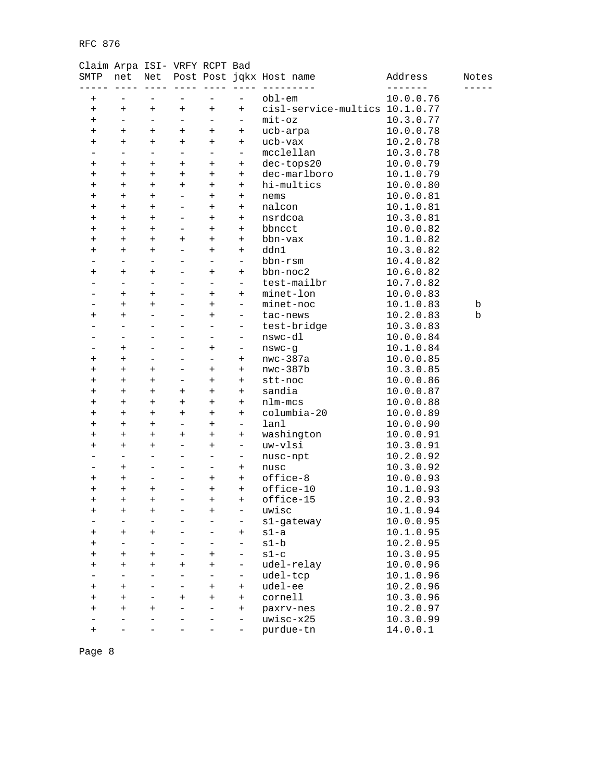### Claim Arpa ISI- VRFY RCPT Bad

| SMTP                             | net                      | Net                         |                          |                                  |                          | Post Post jqkx Host name       | Address   | Notes |
|----------------------------------|--------------------------|-----------------------------|--------------------------|----------------------------------|--------------------------|--------------------------------|-----------|-------|
| $^{+}$                           |                          |                             |                          |                                  |                          | $obl$ -em                      | 10.0.0.76 |       |
| $\begin{array}{c} + \end{array}$ | $^{+}$                   | $\ddot{}$                   | $\qquad \qquad +$        | $^{+}$                           | $^{+}$                   | cisl-service-multics 10.1.0.77 |           |       |
| $^{+}$                           | $\overline{\phantom{0}}$ | $\qquad \qquad -$           | $\qquad \qquad -$        | $\overline{\phantom{0}}$         | $\overline{\phantom{0}}$ | $mit$ oz                       | 10.3.0.77 |       |
| $\ddot{}$                        | $^{+}$                   | $^{+}$                      | $\ddot{}$                | $^{+}$                           | $^{+}$                   | ucb-arpa                       | 10.0.0.78 |       |
| $^{+}$                           | $^{+}$                   | $\ddot{}$                   | $\ddot{}$                | $\ddot{}$                        | $+$                      | ucb-vax                        | 10.2.0.78 |       |
| $\overline{\phantom{0}}$         | $\qquad \qquad -$        | $\qquad \qquad -$           | $\qquad \qquad -$        | $\qquad \qquad -$                | $\overline{\phantom{0}}$ | mcclellan                      | 10.3.0.78 |       |
| $\overline{+}$                   | $\ddot{}$                | $\overline{+}$              | $\ddot{}$                | $\ddot{}$                        | $^{+}$                   | dec-tops20                     | 10.0.0.79 |       |
| $^{+}$                           | $\ddot{}$                | $\ddot{}$                   | $^{+}$                   | $^{+}$                           | $+$                      | dec-marlboro                   | 10.1.0.79 |       |
| $\ddot{}$                        | $+$                      | $+$                         | $+$                      | $+$                              | $+$                      | hi-multics                     | 10.0.0.80 |       |
| $\ddot{}$                        | $\ddot{}$                | $+$                         |                          | $^{+}$                           | $^{+}$                   | nems                           | 10.0.0.81 |       |
| $^{+}$                           | $^{+}$                   | $+$                         | $\qquad \qquad -$        | $\ddot{}$                        | $+$                      | nalcon                         | 10.1.0.81 |       |
| $\,{}^+$                         | $\ddot{}$                | $+$                         | $\qquad \qquad -$        | $^{+}$                           | $+$                      | nsrdcoa                        | 10.3.0.81 |       |
| $\ddot{}$                        | $^{+}$                   | $^{+}$                      |                          | $^{+}$                           | $\ddot{}$                | bbncct                         | 10.0.0.82 |       |
| $\ddot{}$                        | $\ddot{}$                | $\ddot{}$                   | $^{+}$                   | $^{+}$                           | $+$                      | bbn-vax                        | 10.1.0.82 |       |
| $\ddot{}$                        | $+$                      | $+$                         | ÷.                       | $^{+}$                           | $+$                      | ddn1                           | 10.3.0.82 |       |
|                                  |                          | $\overline{\phantom{0}}$    |                          | $\overline{\phantom{0}}$         | $\overline{\phantom{0}}$ | bbn-rsm                        | 10.4.0.82 |       |
| $\ddot{}$                        | $^{+}$                   | $\ddot{}$                   | $\qquad \qquad -$        | $^{+}$                           | $+$                      | $bbn-noc2$                     | 10.6.0.82 |       |
| -                                | $\qquad \qquad -$        | $\qquad \qquad -$           | $\qquad \qquad -$        | $\qquad \qquad -$                | $\overline{\phantom{0}}$ | test-mailbr                    | 10.7.0.82 |       |
|                                  |                          |                             |                          |                                  |                          |                                |           |       |
|                                  | $\ddot{}$                | $^{+}$                      |                          | $\ddot{}$                        | $+$                      | minet-lon                      | 10.0.0.83 |       |
|                                  | $^{+}$                   | $\ddot{}$<br>$\overline{a}$ | $\equiv$                 | $^{+}$                           | $\qquad \qquad -$        | minet-noc                      | 10.1.0.83 | b     |
| $\ddot{}$                        | $\ddot{}$                |                             | $\equiv$                 | $\ddot{}$                        | $\qquad \qquad -$        | tac-news                       | 10.2.0.83 | b     |
|                                  |                          | $\overline{\phantom{0}}$    |                          | $\overline{\phantom{0}}$         | $\qquad \qquad -$        | test-bridge                    | 10.3.0.83 |       |
|                                  |                          | $\overline{\phantom{0}}$    | ÷                        | ÷                                | $\qquad \qquad -$        | nswc-dl                        | 10.0.0.84 |       |
| -                                | $^{+}$                   | $\overline{\phantom{0}}$    | $\overline{\phantom{0}}$ | $\ddot{}$                        | $\overline{\phantom{0}}$ | $n$ swc-g                      | 10.1.0.84 |       |
| $\overline{+}$                   | $\ddot{}$                | $\overline{\phantom{0}}$    |                          | $\overline{\phantom{0}}$         | $+$                      | $nwc-387a$                     | 10.0.0.85 |       |
| $\ddot{}$                        | $\ddot{}$                | $\ddot{}$                   | $\overline{\phantom{0}}$ | $^{+}$                           | $+$                      | $nwc-387b$                     | 10.3.0.85 |       |
| $\ddot{}$                        | $+$                      | $+$                         | $\overline{\phantom{0}}$ | $^{+}$                           | $^{+}$                   | stt-noc                        | 10.0.0.86 |       |
| $\ddot{}$                        | $^{+}$                   | $^{+}$                      | $^{+}$                   | $^{+}$                           | $^{+}$                   | sandia                         | 10.0.0.87 |       |
| $^{+}$                           | $^{+}$                   | $\ddot{}$                   | $^{+}$                   | $^{+}$                           | $+$                      | nlm-mcs                        | 10.0.0.88 |       |
| $\ddot{}$                        | $^{+}$                   | $^{+}$                      | $^{+}$                   | $\ddot{}$                        | $+$                      | columbia-20                    | 10.0.0.89 |       |
| $\ddot{}$                        | $\ddot{}$                | $^{+}$                      |                          | $\ddot{}$                        | $\overline{\phantom{0}}$ | lanl                           | 10.0.0.90 |       |
| $\ddot{}$                        | $^{+}$                   | $\ddot{}$                   | $^{+}$                   | $^{+}$                           | $^{+}$                   | washington                     | 10.0.0.91 |       |
| $\ddot{}$                        | $+$                      | $+$                         | ÷.                       | $\ddot{}$                        | $\overline{\phantom{0}}$ | uw-vlsi                        | 10.3.0.91 |       |
|                                  |                          | $\overline{a}$              |                          | $\overline{\phantom{0}}$         | $\qquad \qquad -$        | nusc-npt                       | 10.2.0.92 |       |
|                                  | $^{+}$                   | $\overline{\phantom{0}}$    | $\overline{\phantom{0}}$ | $\overline{\phantom{0}}$         | $+$                      | nusc                           | 10.3.0.92 |       |
| $^+$                             | $\ddot{}$                | $\qquad \qquad -$           | $\overline{\phantom{0}}$ | $\ddot{}$                        | $+$                      | office-8                       | 10.0.0.93 |       |
| $\ddot{}$                        | $\ddot{}$                | $^{+}$                      |                          | $^{+}$                           | $+$                      | office-10                      | 10.1.0.93 |       |
| $\ddot{}$                        | $^{+}$                   | $\ddot{}$                   |                          | $^{+}$                           | $+$                      | office-15                      | 10.2.0.93 |       |
| $\ddot{}$                        | $\ddot{}$                | $+$                         | $\equiv$                 | $\ddot{}$                        | $\qquad \qquad -$        | uwisc                          | 10.1.0.94 |       |
|                                  |                          |                             |                          |                                  | -                        | s1-gateway                     | 10.0.0.95 |       |
| $\ddot{}$                        | $^{+}$                   | $^{+}$                      |                          |                                  | $^{+}$                   | $s1-a$                         | 10.1.0.95 |       |
| $\overline{+}$                   | -                        | $\overline{\phantom{0}}$    |                          |                                  | $\qquad \qquad -$        | $s1-b$                         | 10.2.0.95 |       |
| $\pmb{+}$                        | $\ddot{}$                | $\ddot{}$                   |                          | $\overline{+}$                   | $\qquad \qquad -$        | $s1-c$                         | 10.3.0.95 |       |
| $\ddot{}$                        | $^{+}$                   | $\ddot{}$                   | $\overline{+}$           | $\begin{array}{c} + \end{array}$ | $\overline{\phantom{0}}$ | udel-relay                     | 10.0.0.96 |       |
|                                  | $\overline{\phantom{0}}$ | $\overline{\phantom{0}}$    |                          | $\qquad \qquad -$                | $\qquad \qquad -$        | udel-tcp                       | 10.1.0.96 |       |
| $\ddot{}$                        | $\ddot{}$                |                             |                          | $\ddot{}$                        | $^{+}$                   | udel-ee                        | 10.2.0.96 |       |
| $\ddot{}$                        | $^{+}$                   | $\overline{\phantom{0}}$    | $^{+}$                   | $\begin{array}{c} + \end{array}$ | $+$                      | cornell                        | 10.3.0.96 |       |
| $\overline{+}$                   | $\ddot{}$                | $\ddot{}$                   |                          | $\overline{\phantom{0}}$         | $^{+}$                   | paxrv-nes                      | 10.2.0.97 |       |
|                                  |                          |                             |                          |                                  | $\qquad \qquad -$        | uwisc-x25                      | 10.3.0.99 |       |
| $^{+}$                           |                          |                             |                          |                                  | -                        | purdue-tn                      | 14.0.0.1  |       |
|                                  |                          |                             |                          |                                  |                          |                                |           |       |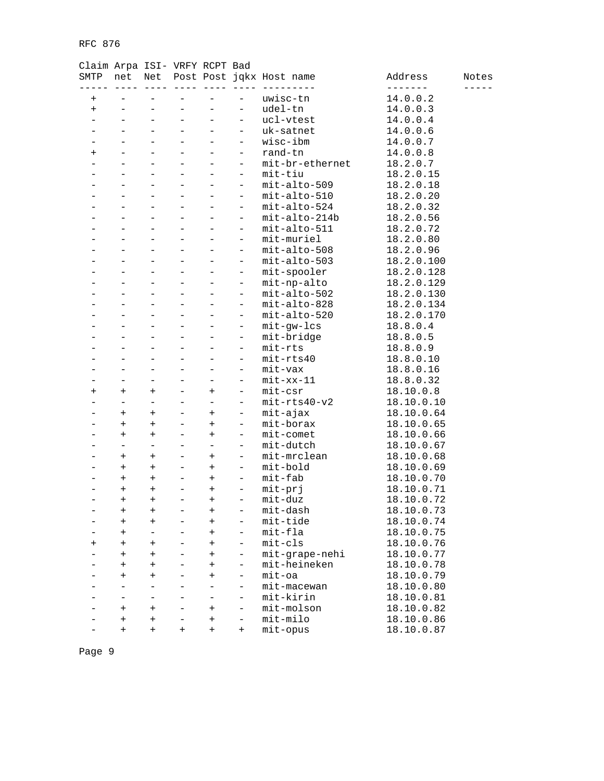| SMTP           | net                              |                          |                   |                          |                          | Net Post Post jqkx Host name | Address    | Notes |
|----------------|----------------------------------|--------------------------|-------------------|--------------------------|--------------------------|------------------------------|------------|-------|
| $\pmb{+}$      |                                  |                          |                   |                          |                          | uwisc-tn                     | 14.0.0.2   |       |
| $\ddot{}$      |                                  | $\overline{\phantom{0}}$ |                   |                          | $\overline{\phantom{0}}$ | udel-tn                      | 14.0.0.3   |       |
|                |                                  | $\overline{\phantom{0}}$ |                   |                          |                          | ucl-vtest                    | 14.0.0.4   |       |
|                |                                  | $\overline{\phantom{0}}$ |                   |                          | $\qquad \qquad -$        | uk-satnet                    | 14.0.0.6   |       |
|                |                                  |                          |                   |                          | $\qquad \qquad -$        | wisc-ibm                     | 14.0.0.7   |       |
| $\ddot{}$      |                                  | $\overline{\phantom{0}}$ |                   |                          | $\qquad \qquad -$        | rand-tn                      | 14.0.0.8   |       |
|                |                                  | $\overline{\phantom{0}}$ |                   |                          | $\qquad \qquad -$        | mit-br-ethernet              | 18.2.0.7   |       |
|                |                                  |                          |                   |                          | $\qquad \qquad -$        | mit-tiu                      | 18.2.0.15  |       |
|                |                                  |                          |                   |                          | $\qquad \qquad -$        | mit-alto-509                 | 18.2.0.18  |       |
|                |                                  | $\overline{\phantom{0}}$ |                   |                          | $\overline{\phantom{0}}$ | mit-alto-510                 | 18.2.0.20  |       |
|                |                                  |                          |                   |                          | $\overline{\phantom{0}}$ | mit-alto-524                 | 18.2.0.32  |       |
|                |                                  |                          |                   |                          | $\overline{\phantom{0}}$ | mit-alto-214b                | 18.2.0.56  |       |
|                |                                  | $\overline{\phantom{0}}$ |                   |                          | $\overline{\phantom{0}}$ | mit-alto-511                 | 18.2.0.72  |       |
|                |                                  |                          |                   |                          | $\qquad \qquad -$        | mit-muriel                   | 18.2.0.80  |       |
|                |                                  |                          |                   |                          | $\qquad \qquad -$        | mit-alto-508                 | 18.2.0.96  |       |
|                |                                  | $\overline{\phantom{0}}$ |                   |                          | $\overline{\phantom{0}}$ | mit-alto-503                 | 18.2.0.100 |       |
|                |                                  |                          |                   |                          | $\qquad \qquad -$        | mit-spooler                  | 18.2.0.128 |       |
|                |                                  | $\overline{a}$           |                   |                          | $\qquad \qquad -$        | mit-np-alto                  | 18.2.0.129 |       |
|                |                                  | $\overline{\phantom{0}}$ |                   |                          | $\qquad \qquad -$        | mit-alto-502                 | 18.2.0.130 |       |
|                |                                  |                          |                   |                          | $\qquad \qquad -$        | mit-alto-828                 | 18.2.0.134 |       |
|                |                                  |                          |                   |                          | $\qquad \qquad -$        | mit-alto-520                 | 18.2.0.170 |       |
|                |                                  | $\overline{\phantom{0}}$ |                   |                          | $\overline{\phantom{0}}$ | mit-gw-lcs                   | 18.8.0.4   |       |
|                |                                  |                          |                   |                          | $\qquad \qquad -$        | mit-bridge                   | 18.8.0.5   |       |
|                |                                  | $\overline{\phantom{0}}$ |                   |                          | $\overline{\phantom{0}}$ | mit-rts                      | 18.8.0.9   |       |
|                |                                  | $\overline{\phantom{0}}$ |                   |                          | $\qquad \qquad -$        | mit-rts40                    | 18.8.0.10  |       |
|                | $\qquad \qquad -$                | $\overline{\phantom{0}}$ |                   |                          | $\qquad \qquad -$        | mit-vax                      | 18.8.0.16  |       |
|                | $\overline{\phantom{0}}$         | $\overline{\phantom{0}}$ |                   |                          | $\qquad \qquad -$        | $mit - xx - 11$              | 18.8.0.32  |       |
| $\ddot{}$      | $\ddot{}$                        | $^{+}$                   |                   | $^{+}$                   | $\overline{\phantom{0}}$ | mit-csr                      | 18.10.0.8  |       |
|                | $\equiv$                         |                          |                   |                          | $\qquad \qquad -$        | $mit-rts40-v2$               | 18.10.0.10 |       |
|                | $^{+}$                           | $\ddot{}$                |                   | $\ddot{}$                | $\qquad \qquad -$        | mit-ajax                     | 18.10.0.64 |       |
|                | $\ddot{}$                        | $\ddot{}$                |                   | $\ddot{}$                | $\qquad \qquad -$        | mit-borax                    | 18.10.0.65 |       |
|                | $\ddot{}$                        | $\ddot{}$                |                   | $\ddot{}$                | $\overline{\phantom{a}}$ | $mit$ -comet                 | 18.10.0.66 |       |
|                | $\equiv$                         | $\overline{\phantom{0}}$ |                   | $\equiv$                 | $\qquad \qquad -$        | mit-dutch                    | 18.10.0.67 |       |
|                | $\ddot{}$                        | $\ddot{}$                |                   | $^{+}$                   | $\overline{\phantom{0}}$ | mit-mrclean                  | 18.10.0.68 |       |
|                | $^{+}$                           | $\ddot{}$                |                   | $\ddot{}$                | $\qquad \qquad -$        | mit-bold                     | 18.10.0.69 |       |
|                | $^{+}$                           | $\ddot{}$                |                   | $\ddot{}$                | $\qquad \qquad -$        | mit-fab                      | 18.10.0.70 |       |
|                | $\begin{array}{c} + \end{array}$ | $\ddot{}$                | $\qquad \qquad -$ | $\ddot{}$                | $\overline{\phantom{0}}$ | mit-prj                      | 18.10.0.71 |       |
|                | $^{+}$                           | $^{+}$                   | $\qquad \qquad -$ | $^{+}$                   | -                        | mit-duz                      | 18.10.0.72 |       |
|                | $\ddot{}$                        | $^{+}$                   | ۳                 | $\overline{+}$           |                          | mit-dash                     | 18.10.0.73 |       |
|                | $\overline{+}$                   | $^{+}$                   |                   | $\pm$                    |                          | mit-tide                     | 18.10.0.74 |       |
|                | $^{+}$                           | $\overline{\phantom{0}}$ |                   | $\ddot{}$                | $\overline{\phantom{0}}$ | $mit-fla$                    | 18.10.0.75 |       |
| $\overline{+}$ | $\ddot{}$                        | $\ddot{}$                |                   | $\ddot{}$                | $\qquad \qquad -$        | $mit-cls$                    | 18.10.0.76 |       |
|                | $^{+}$                           | $\ddot{}$                |                   | $^{+}$                   | $\qquad \qquad -$        | mit-grape-nehi               | 18.10.0.77 |       |
|                | $^{+}$                           | $\ddot{}$                |                   | $^{+}$                   | -                        | mit-heineken                 | 18.10.0.78 |       |
|                | $^{+}$                           | $\ddot{}$                |                   | $^{+}$                   | $\qquad \qquad -$        | $mit$ oa                     | 18.10.0.79 |       |
|                |                                  | $\overline{\phantom{0}}$ |                   | $\overline{\phantom{0}}$ | $\qquad \qquad -$        | mit-macewan                  | 18.10.0.80 |       |
|                |                                  |                          |                   |                          | $\qquad \qquad -$        | mit-kirin                    | 18.10.0.81 |       |
|                | $^{+}$                           | $^{+}$                   |                   | $^{+}$                   | $\qquad \qquad -$        | mit-molson                   | 18.10.0.82 |       |
|                | $\ddot{}$                        | $^{+}$                   | -                 | $\pmb{+}$                | $\qquad \qquad -$        | mit-milo                     | 18.10.0.86 |       |
|                | $\ddot{}$                        | $\ddot{}$                | $^{+}$            | $^{+}$                   | $^{+}$                   | mit-opus                     | 18.10.0.87 |       |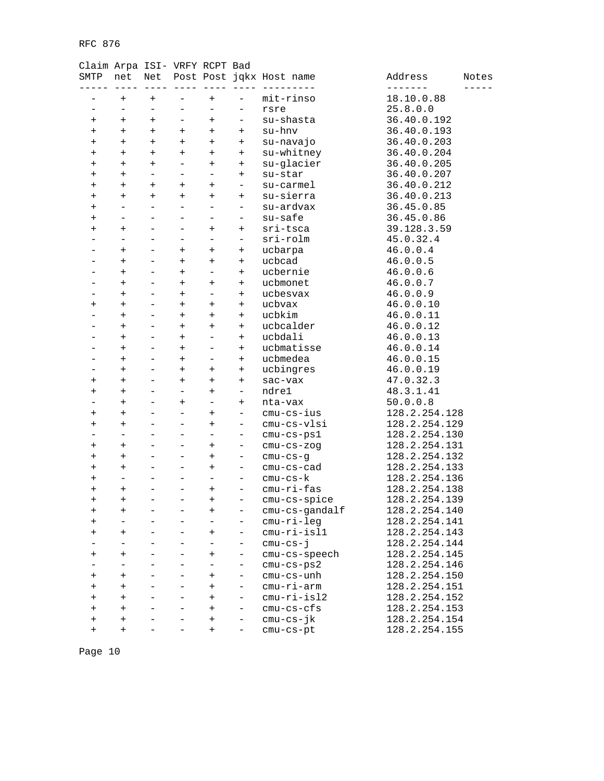| SMTP           | net                      | Net                      |                   |                                  |                          | Post Post jqkx Host name | Address       | Notes |
|----------------|--------------------------|--------------------------|-------------------|----------------------------------|--------------------------|--------------------------|---------------|-------|
|                | $\ddot{}$                | $^{+}$                   |                   | $^{+}$                           |                          | mit-rinso                | 18.10.0.88    |       |
| -              | $\qquad \qquad -$        | $\overline{\phantom{0}}$ |                   | $\overline{\phantom{0}}$         | $\qquad \qquad -$        | rsre                     | 25.8.0.0      |       |
| $\ddot{}$      | $\ddot{}$                | $^{+}$                   |                   | $^{+}$                           | -                        | su-shasta                | 36.40.0.192   |       |
| $\ddot{}$      | $\ddot{}$                | $^{+}$                   | $\ddot{}$         | $\ddot{}$                        | $^{+}$                   | su-hnv                   | 36.40.0.193   |       |
| $\ddot{}$      | $\ddot{}$                | $+$                      | $\ddot{}$         | $\ddot{}$                        | $^{+}$                   | su-navajo                | 36.40.0.203   |       |
| $^{+}$         | $^{+}$                   | $^{+}$                   | $\ddot{}$         | $\ddot{}$                        | $^{+}$                   | su-whitney               | 36.40.0.204   |       |
| $\overline{+}$ | $\ddot{}$                | $^{+}$                   | $\qquad \qquad -$ | $\ddot{}$                        | $^{+}$                   | su-glacier               | 36.40.0.205   |       |
| $\ddot{}$      | $^{+}$                   | $\overline{\phantom{0}}$ |                   | $\overline{\phantom{0}}$         | $^{+}$                   | su-star                  | 36.40.0.207   |       |
| $\ddot{}$      | $+$                      | $^{+}$                   | $\ddot{}$         | $^{+}$                           | $\qquad \qquad -$        | su-carmel                | 36.40.0.212   |       |
| $^+$           | $+$                      | $^{+}$                   | $+$               | $\overline{+}$                   | $^{+}$                   | su-sierra                | 36.40.0.213   |       |
| $\ddot{}$      |                          | $\equiv$                 |                   | $\overline{\phantom{0}}$         | $\overline{\phantom{0}}$ | su-ardvax                | 36.45.0.85    |       |
| $^{+}$         |                          |                          |                   | ÷                                | $\qquad \qquad -$        | su-safe                  | 36.45.0.86    |       |
| $\pmb{+}$      | $\ddot{}$                | -                        |                   | $\ddot{}$                        | $^{+}$                   | sri-tsca                 | 39.128.3.59   |       |
|                |                          | $\overline{\phantom{0}}$ |                   | $\overline{\phantom{0}}$         | $\qquad \qquad -$        | sri-rolm                 | 45.0.32.4     |       |
|                | $\ddot{}$                |                          | $\ddot{}$         | $^{+}$                           | $^{+}$                   | ucbarpa                  | 46.0.0.4      |       |
|                | $\ddot{}$                | -                        | $\ddot{}$         | $^{+}$                           | $^{+}$                   | ucbcad                   | 46.0.0.5      |       |
|                | $^{+}$                   |                          | $\ddot{}$         | $\overline{\phantom{0}}$         | $^{+}$                   | ucbernie                 | 46.0.0.6      |       |
|                | $^{+}$                   | $\overline{\phantom{0}}$ | $^{+}$            | $\ddot{}$                        | $\ddot{}$                | ucbmonet                 | 46.0.0.7      |       |
|                | $\ddot{}$                | -                        | $\ddot{}$         | $\qquad \qquad -$                | $^{+}$                   | ucbesvax                 | 46.0.0.9      |       |
| $\ddot{}$      | $\ddot{}$                | $\overline{\phantom{0}}$ | $\ddot{}$         | $\ddot{}$                        | $^{+}$                   | ucbvax                   | 46.0.0.10     |       |
|                | $\ddot{}$                | $\overline{\phantom{0}}$ | $\ddot{}$         | $^{+}$                           | $^{+}$                   | ucbkim                   | 46.0.0.11     |       |
|                | $+$                      | $\overline{\phantom{0}}$ | $\ddot{}$         | $\overline{+}$                   | $^{+}$                   | ucbcalder                | 46.0.0.12     |       |
|                | $\ddot{}$                |                          | $\ddot{}$         |                                  | $^{+}$                   | ucbdali                  | 46.0.0.13     |       |
|                | $^{+}$                   | $\overline{a}$           | $\ddot{}$         | $\overline{\phantom{0}}$         | $^{+}$                   | ucbmatisse               | 46.0.0.14     |       |
|                | $^{+}$                   | $\overline{\phantom{0}}$ | $\ddot{}$         | -                                | $^{+}$                   | ucbmedea                 | 46.0.0.15     |       |
|                | $^{+}$                   | $\overline{\phantom{0}}$ | $\ddot{}$         | $\ddot{}$                        | $^{+}$                   | ucbingres                | 46.0.0.19     |       |
| $\ddot{}$      | $^{+}$                   | $\overline{\phantom{0}}$ | $\ddot{}$         | $\ddot{}$                        | $^{+}$                   | sac-vax                  | 47.0.32.3     |       |
| $\overline{+}$ | $\ddot{}$                | -                        |                   | $^{+}$                           | $\overline{\phantom{0}}$ | ndre1                    | 48.3.1.41     |       |
|                | $\ddot{}$                |                          | $\ddot{}$         | $\overline{\phantom{0}}$         | $^{+}$                   | nta-vax                  | 50.0.0.8      |       |
| $^{+}$         | $^{+}$                   | $\overline{\phantom{0}}$ |                   | $\ddot{}$                        | $\qquad \qquad -$        | $cmu-cs-ius$             | 128.2.254.128 |       |
| $\pmb{+}$      | $\ddot{}$                | -                        |                   | $\ddot{}$                        | $\overline{\phantom{a}}$ | cmu-cs-vlsi              | 128.2.254.129 |       |
|                |                          |                          |                   | $\overline{\phantom{0}}$         | -                        | cmu-cs-ps1               | 128.2.254.130 |       |
| $\ddot{}$      | $\ddot{}$                | $\overline{\phantom{0}}$ |                   | $\ddot{}$                        | -                        | $cmu-cs-zog$             | 128.2.254.131 |       |
| $\pmb{+}$      | $\ddot{}$                | -                        |                   | $\ddot{}$                        | -                        | $cmu-cs-g$               | 128.2.254.132 |       |
| $\ddot{}$      | $\ddot{}$                |                          |                   | $\ddot{}$                        | $\qquad \qquad -$        | cmu-cs-cad               | 128.2.254.133 |       |
| $^{+}$         | $\overline{\phantom{0}}$ | $\overline{a}$           |                   | $\overline{\phantom{0}}$         | $\qquad \qquad -$        | $cmu-cs-k$               | 128.2.254.136 |       |
| $\overline{+}$ | $\ddot{}$                | -                        |                   | $\ddot{}$                        | $\overline{\phantom{a}}$ | $cmu-ri-fas$             | 128.2.254.138 |       |
| $\ddot{}$      | $^{+}$                   | $\overline{\phantom{0}}$ | $\qquad \qquad -$ | $\begin{array}{c} + \end{array}$ | -                        | cmu-cs-spice             | 128.2.254.139 |       |
| $^{+}$         | $\ddot{}$                |                          |                   | $^{+}$                           | -                        | cmu-cs-gandalf           | 128.2.254.140 |       |
| $^{+}$         |                          | -                        |                   |                                  | -                        | cmu-ri-leg               | 128.2.254.141 |       |
| $\ddot{}$      | $^{+}$                   |                          |                   | $^{+}$                           | $\qquad \qquad -$        | $cmu-ri-isl1$            | 128.2.254.143 |       |
|                | $\overline{\phantom{0}}$ |                          |                   | $\overline{\phantom{0}}$         | $\qquad \qquad -$        | $cmu-cs-j$               | 128.2.254.144 |       |
| $\pmb{+}$      | $\ddot{}$                | $\overline{\phantom{0}}$ |                   | $\ddot{}$                        | $\qquad \qquad -$        | cmu-cs-speech            | 128.2.254.145 |       |
|                | $\overline{\phantom{0}}$ |                          |                   | $\qquad \qquad -$                | $\qquad \qquad -$        | $cmu-cs-ps2$             | 128.2.254.146 |       |
| $\ddot{}$      | $\ddot{}$                |                          |                   | $^{+}$                           | $\overline{\phantom{0}}$ | cmu-cs-unh               | 128.2.254.150 |       |
| $^{+}$         | $\ddot{}$                | -                        |                   | $\ddot{}$                        | -                        | cmu-ri-arm               | 128.2.254.151 |       |
| $^{+}$         | $\ddot{}$                |                          |                   | $\ddot{}$                        | $\overline{\phantom{0}}$ | $cmu-ri-isl2$            | 128.2.254.152 |       |
| $^{+}$         | $^{+}$                   | $\overline{a}$           |                   | $^{+}$                           | $\qquad \qquad -$        | $cmu-cs-cfs$             | 128.2.254.153 |       |
| $\ddot{}$      | $\ddot{}$                | -                        |                   | $^{+}$                           | -                        | $cmu-cs-jk$              | 128.2.254.154 |       |
| $\ddot{}$      | $^{+}$                   |                          |                   | $^{+}$                           | $\qquad \qquad -$        | cmu-cs-pt                | 128.2.254.155 |       |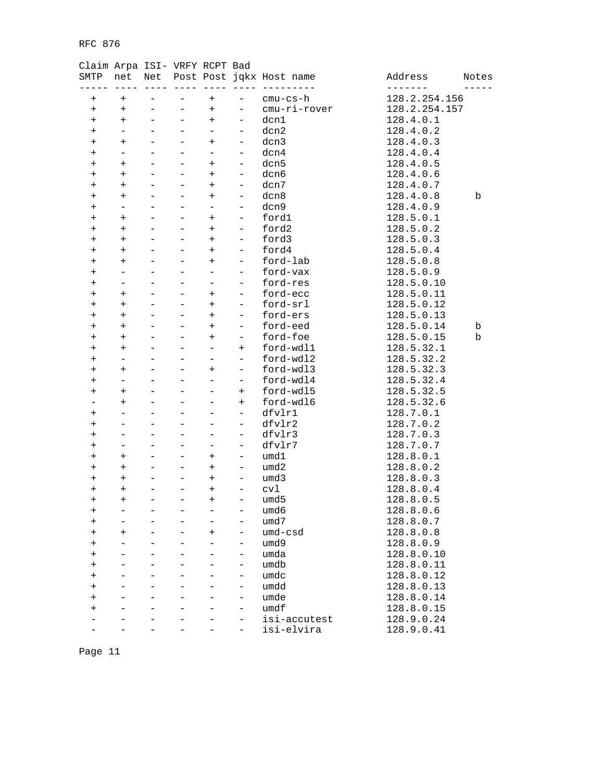### Claim Arpa ISI- VRFY RCPT Bad

| SMTP                             | net                      | Net                      |                          |                          |                          | Post Post jqkx Host name | Address       | Notes |
|----------------------------------|--------------------------|--------------------------|--------------------------|--------------------------|--------------------------|--------------------------|---------------|-------|
| $^{+}$                           | $\ddot{}$                |                          |                          | $^{+}$                   |                          | cmu-cs-h                 | 128.2.254.156 |       |
| $\begin{array}{c} + \end{array}$ | $^{+}$                   | $\overline{\phantom{0}}$ | $\qquad \qquad -$        | $\ddot{}$                | $\overline{\phantom{0}}$ | cmu-ri-rover             | 128.2.254.157 |       |
| $\ddot{}$                        | $^{+}$                   | $\overline{\phantom{0}}$ | $\overline{\phantom{0}}$ | $\ddot{}$                | $\overline{\phantom{0}}$ | dcn1                     | 128.4.0.1     |       |
| $^{+}$                           | -                        |                          |                          | $\overline{\phantom{0}}$ | $\qquad \qquad -$        | dcn2                     | 128.4.0.2     |       |
| $^{+}$                           | $^{+}$                   | $\overline{\phantom{0}}$ |                          | $^{+}$                   | $\qquad \qquad -$        | dcn3                     | 128.4.0.3     |       |
| $^{+}$                           | $\overline{\phantom{0}}$ | $\overline{\phantom{0}}$ | $\overline{\phantom{0}}$ | $\qquad \qquad -$        | $\overline{\phantom{a}}$ | dcn4                     | 128.4.0.4     |       |
| $\ddot{}$                        | $\ddot{}$                |                          |                          | $\ddot{}$                | $\qquad \qquad -$        | dcn5                     | 128.4.0.5     |       |
| $^{+}$                           | $^{+}$                   | $\overline{\phantom{0}}$ |                          | $\ddot{}$                | $\overline{\phantom{0}}$ | dcn6                     | 128.4.0.6     |       |
| $\ddot{}$                        | $^{+}$                   | $\equiv$                 |                          | $+$                      | $\qquad \qquad -$        | dcn7                     | 128.4.0.7     |       |
|                                  | $+$                      |                          |                          | $+$                      | $\qquad \qquad -$        | dcn8                     | 128.4.0.8     | b     |
| $\ddot{}$                        | $\overline{\phantom{0}}$ | $\equiv$                 |                          | $\overline{\phantom{0}}$ | $\qquad \qquad -$        | dcn9                     | 128.4.0.9     |       |
| $^{+}$                           |                          | $\equiv$                 |                          |                          |                          |                          |               |       |
| $\ddot{}$                        | $^{+}$                   |                          | $\overline{\phantom{0}}$ | $+$                      | $\overline{\phantom{a}}$ | ford1                    | 128.5.0.1     |       |
| $\ddot{}$                        | $^{+}$                   |                          |                          | $\ddot{}$                | $\qquad \qquad -$        | ford2                    | 128.5.0.2     |       |
| $^{+}$                           | $^{+}$                   |                          |                          | $^{+}$                   | $\overline{\phantom{0}}$ | ford3                    | 128.5.0.3     |       |
| $^{+}$                           | $^{+}$                   | $\overline{\phantom{0}}$ |                          | $+$                      | $\qquad \qquad -$        | ford4                    | 128.5.0.4     |       |
| $^{+}$                           | $^{+}$                   |                          |                          | $\ddot{}$                | $\overline{\phantom{0}}$ | ford-lab                 | 128.5.0.8     |       |
| $^{+}$                           | $\overline{\phantom{0}}$ | $\overline{\phantom{0}}$ |                          | $\equiv$                 | $\overline{\phantom{0}}$ | ford-vax                 | 128.5.0.9     |       |
| $\ddot{}$                        | -                        | $\overline{\phantom{0}}$ | $\overline{\phantom{0}}$ | $\overline{\phantom{0}}$ | $\overline{\phantom{a}}$ | ford-res                 | 128.5.0.10    |       |
| $\ddot{}$                        | $\ddot{}$                |                          |                          | $\ddot{}$                | $\overline{\phantom{a}}$ | ford-ecc                 | 128.5.0.11    |       |
| $^{+}$                           | $^{+}$                   | $\equiv$                 |                          | $\ddot{}$                | $\qquad \qquad -$        | ford-srl                 | 128.5.0.12    |       |
| $\ddot{}$                        | $^{+}$                   | ۳                        |                          | $+$                      | $\qquad \qquad -$        | ford-ers                 | 128.5.0.13    |       |
| $\ddot{}$                        | $^{+}$                   |                          |                          | $\ddot{}$                | $\overline{\phantom{0}}$ | ford-eed                 | 128.5.0.14    | b     |
| $^{+}$                           | $^{+}$                   | $\overline{\phantom{0}}$ |                          | $^{+}$                   | $\qquad \qquad -$        | ford-foe                 | 128.5.0.15    | b     |
| $\ddot{}$                        | $^{+}$                   | $\equiv$                 | $\equiv$                 | $\overline{\phantom{0}}$ | $\ddot{}$                | ford-wdl1                | 128.5.32.1    |       |
| $\ddot{}$                        | $\overline{\phantom{0}}$ |                          |                          |                          | $\qquad \qquad -$        | ford-wdl2                | 128.5.32.2    |       |
| $^{+}$                           | $^{+}$                   |                          |                          | $\ddot{}$                | -                        | ford-wdl3                | 128.5.32.3    |       |
| $^{+}$                           | $\overline{\phantom{0}}$ | ۳                        |                          | $\equiv$                 | $\qquad \qquad -$        | ford-wdl4                | 128.5.32.4    |       |
| $^{+}$                           | $^{+}$                   |                          |                          |                          | $^{+}$                   | ford-wdl5                | 128.5.32.5    |       |
|                                  | $^{+}$                   | $\overline{\phantom{0}}$ |                          | $\overline{\phantom{0}}$ | $\ddot{}$                | ford-wdl6                | 128.5.32.6    |       |
| $\ddot{}$                        | $\overline{\phantom{0}}$ | $\equiv$                 |                          | $\overline{\phantom{0}}$ | $\overline{\phantom{a}}$ | dfvlr1                   | 128.7.0.1     |       |
| $\ddot{}$                        |                          |                          |                          |                          | $\qquad \qquad -$        | dfvlr2                   | 128.7.0.2     |       |
| $^{+}$                           | L,                       | $\overline{\phantom{0}}$ |                          | L,                       | $\qquad \qquad -$        | dfvlr3                   | 128.7.0.3     |       |
| $\ddot{}$                        | ÷                        | $\equiv$                 | $\overline{\phantom{0}}$ | ÷.                       | $\qquad \qquad -$        | dfvlr7                   | 128.7.0.7     |       |
| $\ddot{}$                        | $^{+}$                   |                          |                          | $\ddot{}$                | $\qquad \qquad -$        | umd1                     | 128.8.0.1     |       |
| $^{+}$                           | $^{+}$                   | $\overline{\phantom{0}}$ |                          | $^{+}$                   | $\qquad \qquad -$        | umd2                     | 128.8.0.2     |       |
| $\ddot{}$                        | $^{+}$                   | $\overline{\phantom{0}}$ | $\overline{\phantom{0}}$ | $\ddot{}$                | $\equiv$                 | umd3                     | 128.8.0.3     |       |
| $\ddot{}$                        | $\ddot{}$                |                          |                          | $\ddot{}$                | $\qquad \qquad -$        | cvl                      | 128.8.0.4     |       |
| $^{+}$                           | $^{+}$                   | $\overline{\phantom{0}}$ |                          | $^{+}$                   | -                        | umd5                     | 128.8.0.5     |       |
| $\ddot{}$                        | ۳                        | $\overline{\phantom{0}}$ | $\overline{\phantom{0}}$ | ۳                        | ÷                        | umd6                     | 128.8.0.6     |       |
| $\ddot{}$                        |                          |                          |                          |                          |                          | umd7                     | 128.8.0.7     |       |
|                                  |                          |                          |                          |                          | $\overline{\phantom{0}}$ | umd-csd                  | 128.8.0.8     |       |
|                                  | $\overline{+}$<br>L,     |                          |                          | $\ddot{}$                |                          |                          |               |       |
| $\,{}^+$                         |                          |                          |                          |                          | $\qquad \qquad -$        | umd9                     | 128.8.0.9     |       |
|                                  |                          |                          |                          |                          |                          | umda                     | 128.8.0.10    |       |
|                                  |                          |                          |                          |                          |                          | umdb                     | 128.8.0.11    |       |
| +                                |                          |                          |                          |                          | $\qquad \qquad -$        | umdc                     | 128.8.0.12    |       |
| $\,{}^+$                         |                          |                          |                          |                          |                          | umdd                     | 128.8.0.13    |       |
| $^{+}$                           |                          |                          |                          |                          | $\overline{\phantom{0}}$ | umde                     | 128.8.0.14    |       |
| $\,{}^+$                         |                          |                          |                          |                          | $\overline{\phantom{0}}$ | umdf                     | 128.8.0.15    |       |
|                                  |                          |                          |                          |                          | $\qquad \qquad -$        | isi-accutest             | 128.9.0.24    |       |
|                                  |                          |                          |                          |                          |                          | isi-elvira               | 128.9.0.41    |       |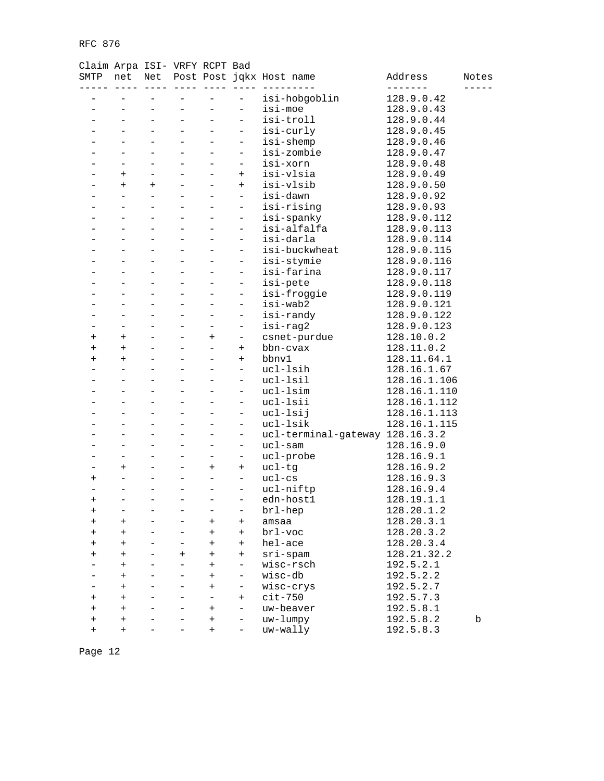### Claim Arpa ISI- VRFY RCPT Bad

| SMTP           | net                      |                          |           |                          |                          | Net Post Post jqkx Host name    | Address      | Notes |
|----------------|--------------------------|--------------------------|-----------|--------------------------|--------------------------|---------------------------------|--------------|-------|
|                |                          |                          |           |                          |                          | isi-hobgoblin                   | 128.9.0.42   |       |
|                |                          |                          |           |                          | $\bar{ }$                | isi-moe                         | 128.9.0.43   |       |
|                |                          | $\overline{\phantom{0}}$ |           | -                        | $\overline{\phantom{0}}$ | isi-troll                       | 128.9.0.44   |       |
|                |                          | $\equiv$                 |           | $\overline{\phantom{0}}$ | $\overline{\phantom{0}}$ | isi-curly                       | 128.9.0.45   |       |
|                |                          |                          |           | $\overline{a}$           | $\overline{\phantom{a}}$ | isi-shemp                       | 128.9.0.46   |       |
|                |                          | $\overline{\phantom{0}}$ |           | $\overline{\phantom{0}}$ | $\overline{\phantom{a}}$ | isi-zombie                      | 128.9.0.47   |       |
|                | $\overline{\phantom{0}}$ | $\overline{\phantom{0}}$ |           | -                        | $\overline{\phantom{0}}$ | isi-xorn                        | 128.9.0.48   |       |
|                | $^{+}$                   | $\equiv$                 |           |                          | $+$                      | isi-vlsia                       | 128.9.0.49   |       |
|                | $+$                      | $+$                      |           |                          | $+$                      | isi-vlsib                       | 128.9.0.50   |       |
|                | $\overline{a}$           | $\equiv$                 |           |                          | $\equiv$                 | isi-dawn                        | 128.9.0.92   |       |
|                |                          |                          |           |                          | $\equiv$                 | isi-rising                      | 128.9.0.93   |       |
|                |                          | $\overline{\phantom{0}}$ |           | -                        | $\overline{\phantom{a}}$ | isi-spanky                      | 128.9.0.112  |       |
|                | $\overline{\phantom{0}}$ | $\overline{\phantom{0}}$ |           | $\overline{\phantom{0}}$ | $\overline{\phantom{a}}$ | isi-alfalfa                     | 128.9.0.113  |       |
|                |                          | $\overline{a}$           |           |                          | $\overline{\phantom{a}}$ | isi-darla                       | 128.9.0.114  |       |
|                |                          | $\overline{\phantom{0}}$ |           |                          | $\overline{\phantom{0}}$ | isi-buckwheat                   | 128.9.0.115  |       |
|                |                          | $\equiv$                 |           | $\overline{\phantom{0}}$ | $\overline{\phantom{a}}$ | isi-stymie                      | 128.9.0.116  |       |
|                |                          |                          |           |                          | $\equiv$                 | isi-farina                      | 128.9.0.117  |       |
|                |                          | $\overline{\phantom{0}}$ |           |                          | $\overline{\phantom{a}}$ | isi-pete                        | 128.9.0.118  |       |
|                | $\overline{\phantom{0}}$ | $\overline{\phantom{0}}$ |           | $\overline{\phantom{0}}$ | $\overline{\phantom{a}}$ | isi-froggie                     | 128.9.0.119  |       |
|                |                          |                          |           |                          | $\qquad \qquad -$        | isi-wab2                        | 128.9.0.121  |       |
|                |                          | $\overline{\phantom{0}}$ |           |                          | $\qquad \qquad -$        | isi-randy                       | 128.9.0.122  |       |
|                | $-$                      |                          |           | $\overline{\phantom{0}}$ | $\qquad \qquad -$        | isi-rag2                        | 128.9.0.123  |       |
| $\ddot{}$      | $+$                      |                          |           | $\ddot{}$                | $\qquad \qquad -$        | csnet-purdue                    | 128.10.0.2   |       |
|                |                          | $\overline{\phantom{0}}$ |           | $\overline{\phantom{0}}$ | $+$                      |                                 | 128.11.0.2   |       |
| $\ddot{}$      | $\ddot{}$                | $\overline{\phantom{0}}$ |           |                          |                          | bbn-cvax                        |              |       |
| $^{+}$         | $\ddot{}$<br>$\equiv$    | $\overline{a}$           |           | $\overline{\phantom{0}}$ | $+$                      | bbnv1                           | 128.11.64.1  |       |
|                |                          |                          |           |                          | $\overline{\phantom{a}}$ | ucl-lsih                        | 128.16.1.67  |       |
|                |                          | $\overline{\phantom{0}}$ |           | $\overline{\phantom{0}}$ | $\qquad \qquad -$        | ucl-lsil                        | 128.16.1.106 |       |
|                |                          |                          |           | $\overline{\phantom{0}}$ | $\qquad \qquad -$        | ucl-lsim                        | 128.16.1.110 |       |
|                |                          |                          |           |                          | $\overline{\phantom{a}}$ | ucl-lsii                        | 128.16.1.112 |       |
|                |                          | $\overline{\phantom{0}}$ |           |                          | $\overline{\phantom{a}}$ | ucl-lsij                        | 128.16.1.113 |       |
|                | $\overline{\phantom{0}}$ | $\overline{\phantom{0}}$ |           | ÷                        | $\overline{\phantom{a}}$ | ucl-lsik                        | 128.16.1.115 |       |
|                |                          | $\equiv$                 |           | ÷                        | $\qquad \qquad -$        | ucl-terminal-gateway 128.16.3.2 |              |       |
|                |                          | $\overline{\phantom{0}}$ |           | -                        | $\qquad \qquad -$        | $uc1$ -sam                      | 128.16.9.0   |       |
|                | ÷                        | $\equiv$                 |           | $\overline{\phantom{0}}$ | $\qquad \qquad -$        | ucl-probe                       | 128.16.9.1   |       |
|                | $+$                      |                          |           | $^{+}$                   | $\ddot{}$                | ucl-tg                          | 128.16.9.2   |       |
| $\overline{+}$ | $\qquad \qquad -$        | $\overline{\phantom{0}}$ |           | $\overline{\phantom{0}}$ | $\qquad \qquad -$        | $uc1-cs$                        | 128.16.9.3   |       |
|                | $\overline{\phantom{0}}$ | $\overline{\phantom{0}}$ |           | $\overline{\phantom{0}}$ | $\overline{\phantom{a}}$ | ucl-niftp                       | 128.16.9.4   |       |
| $\ddot{}$      | $\equiv$                 | $\overline{a}$           |           | $\equiv$                 | $\qquad \qquad -$        | edn-host1                       | 128.19.1.1   |       |
| $^{+}$         | $\overline{\phantom{0}}$ | $\qquad \qquad -$        |           |                          | $\qquad \qquad -$        | brl-hep                         | 128.20.1.2   |       |
| $\ddot{}$      | $\ddot{}$                |                          |           | $\pm$                    | $\ddot{}$                | amsaa                           | 128.20.3.1   |       |
|                | $\ddot{}$                |                          |           | $^{+}$                   | $+$                      | brl-voc                         | 128.20.3.2   |       |
|                | $^{+}$                   |                          |           | $^{+}$                   | $^{+}$                   | hel-ace                         | 128.20.3.4   |       |
|                | $^{+}$                   |                          | $\ddot{}$ | $^{+}$                   | $^{+}$                   | $sri$ -spam                     | 128.21.32.2  |       |
|                | $\ddot{}$                |                          |           | $\overline{+}$           | $\qquad \qquad -$        | wisc-rsch                       | 192.5.2.1    |       |
|                | $\ddot{}$                |                          |           | $^{+}$                   | $\qquad \qquad -$        | wisc-db                         | 192.5.2.2    |       |
|                | $\ddot{}$                |                          |           | $^{+}$                   | $\qquad \qquad -$        | wisc-crys                       | 192.5.2.7    |       |
| $^{+}$         | $\ddot{}$                |                          |           | ÷.                       | $^{+}$                   | $cit-750$                       | 192.5.7.3    |       |
| $\ddot{}$      | $^{+}$                   |                          |           | $^+$                     | $\qquad \qquad -$        | uw-beaver                       | 192.5.8.1    |       |
| $^{+}$         | $^{+}$                   |                          |           | $^{+}$                   | $\qquad \qquad -$        | uw-lumpy                        | 192.5.8.2    | b     |
| $^{+}$         | $^{+}$                   |                          |           | $^{+}$                   | $\overline{\phantom{0}}$ | uw-wally                        | 192.5.8.3    |       |
|                |                          |                          |           |                          |                          |                                 |              |       |